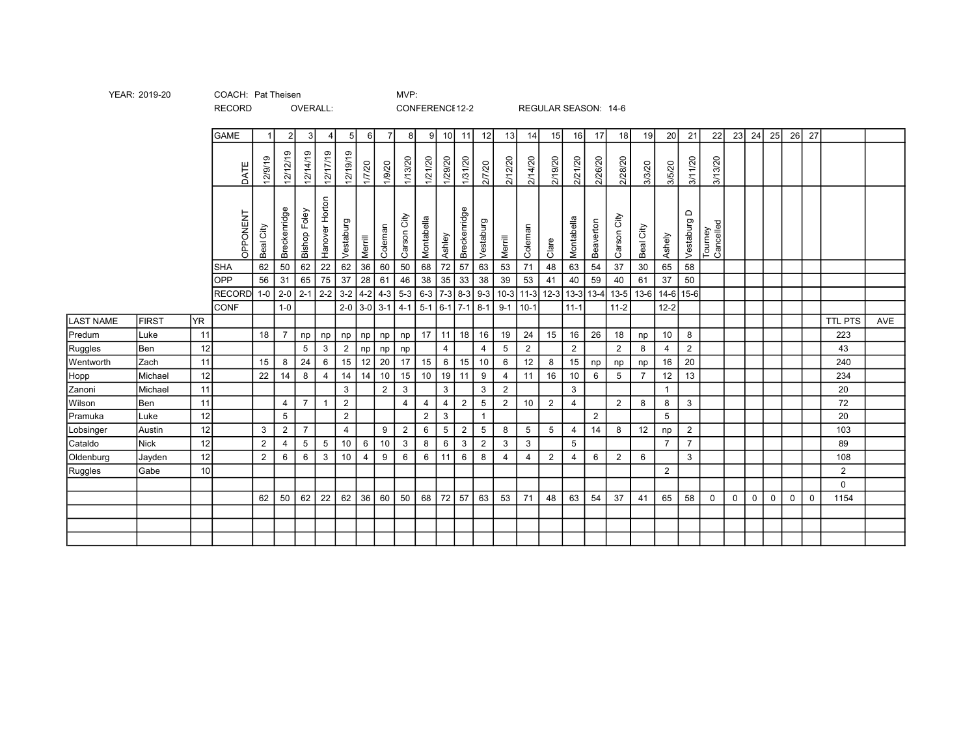| YEAR: 2019-20 | COACH: Pat Theisen | MVP: |
|---------------|--------------------|------|
|               |                    |      |

| <b>GAME</b><br>24<br>26<br>27<br>$\overline{2}$<br>9 <sup>1</sup><br>10<br>19<br>20<br>21<br>22<br>23<br>25<br>3<br>$\overline{7}$<br>11<br>12<br>13<br>15<br>16<br>17<br>18 <sup>l</sup><br>5 <sub>l</sub><br>6<br>14<br>81<br>4<br>12/19/19<br>12/12/19<br>12/14/19<br>12/17/19<br>12/9/19<br>1/29/20<br>2/19/20<br>2/21/20<br>2/28/20<br>1/21/20<br>1/31/20<br>2/12/20<br>2/14/20<br>2/26/20<br>3/11/20<br>3/13/20<br>1/13/20<br>1/7/20<br>1/9/20<br>2/7/20<br>3/3/20<br>3/5/20<br>DATE<br>Hanover Horton<br>Breckenridge<br>Breckenridge<br><b>Bishop Foley</b><br>$\Omega$<br>OPPONENT<br>City<br>Carson City<br>Montabella<br>Montabella<br>Vestaburg<br>Vestaburg<br>Beaverton<br>Vestaburg<br>Tourney<br>Cancelled<br>Coleman<br>Coleman<br>Beal City<br>Beal City<br>Carson<br>Ashley<br>Ashely<br>Merrill<br>Merrill<br>Clare<br>62<br>22<br>62<br>36<br>50<br>72<br>57<br>53<br>48<br>63<br>54<br>62<br>50<br>60<br>68<br>63<br>71<br>37<br>30<br>65<br>58<br><b>SHA</b><br>56<br>65<br>75<br>$28$ 61<br>38<br>33<br>39<br>37<br>46<br>35<br>38<br>41<br>40<br>59<br>37<br>OPP<br>31<br>53<br>40<br>50<br>61<br>$2-2$<br>  10-3   11-3   12-3   13-3   13-4   13-5   13-6   14-6   15-6  <br>$ 2-1 $<br>$4-2$ 4-3<br>$5-3$<br>$3 - 2$<br>$6-3$ 7-3 8-3 9-3<br>$2-0$<br>RECORD 1-0<br>$2-0$ 3-0 3-1<br>$5-1$ 6-1 7-1 8-1<br>$1-0$<br>$4 - 1$<br>$9-1$ 10-1<br>$11 - 1$<br>$11 - 2$<br>$12 - 2$<br><b>CONF</b><br><b>FIRST</b><br>YR.<br><b>LAST NAME</b><br><b>TTL PTS</b><br>AVE<br>Predum<br>11<br>18<br>17   11   18  <br>16<br>19<br>24<br>15<br>16<br>26<br>10<br>Luke<br>18<br>8<br>223<br>np<br>np<br>np<br>np<br>np<br>np<br>np<br>Ruggles<br>$\overline{2}$<br>12<br>$5\phantom{.0}$<br>2<br>3<br>$\overline{2}$<br>$\overline{4}$<br>$\overline{2}$<br>8<br>2<br>Ben<br>5<br>43<br>4<br>$np$ $np$<br>4<br>np<br>12<br>20<br>15<br>Wentworth<br>24<br>15<br>20<br>Zach<br>11<br>15<br>17<br>6<br>6<br>8<br>15<br>16<br>240<br>15<br>8<br>6<br>10<br>12<br>np<br>np<br>np<br>12<br>22<br>10 <sup>1</sup><br>8<br>10<br>$15$<br>19<br>16<br>Hopp<br>14<br>11<br>9<br>10<br>6<br>$5\phantom{.0}$<br>$\overline{7}$<br>12<br>13<br>Michael<br>14<br>14<br>11<br>234<br>$\overline{4}$<br>$\overline{4}$<br>11<br>Zanoni<br>$\mathbf{3}$<br>3<br>3<br>$\overline{2}$<br>3<br>$\overline{2}$<br>3<br>Michael<br>20<br>$\overline{1}$<br>11<br>$\overline{2}$<br>$\overline{7}$<br>Wilson<br>2<br>$\overline{4}$<br>2<br>$5\phantom{.0}$<br>2<br>10<br>$\overline{2}$<br>8<br>8<br>$\mathbf{3}$<br>4<br>4<br>$\overline{4}$<br>72<br>Ben<br>$\overline{4}$<br>$\overline{1}$<br>Pramuka<br>12<br>$\overline{2}$<br>$\overline{2}$<br>$\mathbf{3}$<br>5<br>5<br>$\overline{2}$<br>20<br>Luke<br>12<br>$\overline{7}$<br>3<br>2<br>$\overline{4}$<br>9<br>2<br>6<br>5<br>$\overline{2}$<br>5<br>5<br>14<br>12<br>$\overline{2}$<br>Lobsinger<br>Austin<br>8<br>5<br>$\overline{4}$<br>8<br>103<br>np<br>Cataldo<br>12<br>2<br>$5\phantom{.0}$<br>5<br>$\overline{7}$<br>$\overline{7}$<br><b>Nick</b><br>5<br>6<br>10<br>$\mathbf{3}$<br>8<br>6<br>3<br>$\overline{2}$<br>3<br>89<br>10<br>3<br>4<br>12<br>6<br>Oldenburg<br>$\overline{2}$<br>6<br>$\mathbf{3}$<br>10<br>9<br>6<br>6<br>11<br>$\overline{2}$<br>3<br>108<br>6<br>$\overline{4}$<br>8<br>6<br>$\overline{2}$<br>6<br>4<br>4<br>Jayden<br>4<br>10 <sup>1</sup><br>$\overline{2}$<br>Ruggles<br>2<br>Gabe<br>$\mathbf 0$<br>$62 \mid 36 \mid 60 \mid$<br>50<br>68 72 57<br>62<br>22<br>63<br>53<br>71<br>48<br>63<br>54<br>37<br>65<br>$\mathbf 0$<br>$\mathbf 0$<br>62<br>50<br>41<br>58<br>$\mathbf 0$<br>0<br>$\mathbf 0$<br>1154<br>$\Omega$ |  |  |  |  |  |  |  |  |  |  |  |  |  |  |  |  |  |
|--------------------------------------------------------------------------------------------------------------------------------------------------------------------------------------------------------------------------------------------------------------------------------------------------------------------------------------------------------------------------------------------------------------------------------------------------------------------------------------------------------------------------------------------------------------------------------------------------------------------------------------------------------------------------------------------------------------------------------------------------------------------------------------------------------------------------------------------------------------------------------------------------------------------------------------------------------------------------------------------------------------------------------------------------------------------------------------------------------------------------------------------------------------------------------------------------------------------------------------------------------------------------------------------------------------------------------------------------------------------------------------------------------------------------------------------------------------------------------------------------------------------------------------------------------------------------------------------------------------------------------------------------------------------------------------------------------------------------------------------------------------------------------------------------------------------------------------------------------------------------------------------------------------------------------------------------------------------------------------------------------------------------------------------------------------------------------------------------------------------------------------------------------------------------------------------------------------------------------------------------------------------------------------------------------------------------------------------------------------------------------------------------------------------------------------------------------------------------------------------------------------------------------------------------------------------------------------------------------------------------------------------------------------------------------------------------------------------------------------------------------------------------------------------------------------------------------------------------------------------------------------------------------------------------------------------------------------------------------------------------------------------------------------------------------------------------------------------------------------------------------------------------------------------------------------------------------------------------------------------------------------------------------------------------------------------------------------------------------------------------------------------------------------------------------------------------------------------------------------------------------------------------------------------------------------------------------------------------------------------------|--|--|--|--|--|--|--|--|--|--|--|--|--|--|--|--|--|
|                                                                                                                                                                                                                                                                                                                                                                                                                                                                                                                                                                                                                                                                                                                                                                                                                                                                                                                                                                                                                                                                                                                                                                                                                                                                                                                                                                                                                                                                                                                                                                                                                                                                                                                                                                                                                                                                                                                                                                                                                                                                                                                                                                                                                                                                                                                                                                                                                                                                                                                                                                                                                                                                                                                                                                                                                                                                                                                                                                                                                                                                                                                                                                                                                                                                                                                                                                                                                                                                                                                                                                                                                          |  |  |  |  |  |  |  |  |  |  |  |  |  |  |  |  |  |
|                                                                                                                                                                                                                                                                                                                                                                                                                                                                                                                                                                                                                                                                                                                                                                                                                                                                                                                                                                                                                                                                                                                                                                                                                                                                                                                                                                                                                                                                                                                                                                                                                                                                                                                                                                                                                                                                                                                                                                                                                                                                                                                                                                                                                                                                                                                                                                                                                                                                                                                                                                                                                                                                                                                                                                                                                                                                                                                                                                                                                                                                                                                                                                                                                                                                                                                                                                                                                                                                                                                                                                                                                          |  |  |  |  |  |  |  |  |  |  |  |  |  |  |  |  |  |
|                                                                                                                                                                                                                                                                                                                                                                                                                                                                                                                                                                                                                                                                                                                                                                                                                                                                                                                                                                                                                                                                                                                                                                                                                                                                                                                                                                                                                                                                                                                                                                                                                                                                                                                                                                                                                                                                                                                                                                                                                                                                                                                                                                                                                                                                                                                                                                                                                                                                                                                                                                                                                                                                                                                                                                                                                                                                                                                                                                                                                                                                                                                                                                                                                                                                                                                                                                                                                                                                                                                                                                                                                          |  |  |  |  |  |  |  |  |  |  |  |  |  |  |  |  |  |
|                                                                                                                                                                                                                                                                                                                                                                                                                                                                                                                                                                                                                                                                                                                                                                                                                                                                                                                                                                                                                                                                                                                                                                                                                                                                                                                                                                                                                                                                                                                                                                                                                                                                                                                                                                                                                                                                                                                                                                                                                                                                                                                                                                                                                                                                                                                                                                                                                                                                                                                                                                                                                                                                                                                                                                                                                                                                                                                                                                                                                                                                                                                                                                                                                                                                                                                                                                                                                                                                                                                                                                                                                          |  |  |  |  |  |  |  |  |  |  |  |  |  |  |  |  |  |
|                                                                                                                                                                                                                                                                                                                                                                                                                                                                                                                                                                                                                                                                                                                                                                                                                                                                                                                                                                                                                                                                                                                                                                                                                                                                                                                                                                                                                                                                                                                                                                                                                                                                                                                                                                                                                                                                                                                                                                                                                                                                                                                                                                                                                                                                                                                                                                                                                                                                                                                                                                                                                                                                                                                                                                                                                                                                                                                                                                                                                                                                                                                                                                                                                                                                                                                                                                                                                                                                                                                                                                                                                          |  |  |  |  |  |  |  |  |  |  |  |  |  |  |  |  |  |
|                                                                                                                                                                                                                                                                                                                                                                                                                                                                                                                                                                                                                                                                                                                                                                                                                                                                                                                                                                                                                                                                                                                                                                                                                                                                                                                                                                                                                                                                                                                                                                                                                                                                                                                                                                                                                                                                                                                                                                                                                                                                                                                                                                                                                                                                                                                                                                                                                                                                                                                                                                                                                                                                                                                                                                                                                                                                                                                                                                                                                                                                                                                                                                                                                                                                                                                                                                                                                                                                                                                                                                                                                          |  |  |  |  |  |  |  |  |  |  |  |  |  |  |  |  |  |
|                                                                                                                                                                                                                                                                                                                                                                                                                                                                                                                                                                                                                                                                                                                                                                                                                                                                                                                                                                                                                                                                                                                                                                                                                                                                                                                                                                                                                                                                                                                                                                                                                                                                                                                                                                                                                                                                                                                                                                                                                                                                                                                                                                                                                                                                                                                                                                                                                                                                                                                                                                                                                                                                                                                                                                                                                                                                                                                                                                                                                                                                                                                                                                                                                                                                                                                                                                                                                                                                                                                                                                                                                          |  |  |  |  |  |  |  |  |  |  |  |  |  |  |  |  |  |
|                                                                                                                                                                                                                                                                                                                                                                                                                                                                                                                                                                                                                                                                                                                                                                                                                                                                                                                                                                                                                                                                                                                                                                                                                                                                                                                                                                                                                                                                                                                                                                                                                                                                                                                                                                                                                                                                                                                                                                                                                                                                                                                                                                                                                                                                                                                                                                                                                                                                                                                                                                                                                                                                                                                                                                                                                                                                                                                                                                                                                                                                                                                                                                                                                                                                                                                                                                                                                                                                                                                                                                                                                          |  |  |  |  |  |  |  |  |  |  |  |  |  |  |  |  |  |
|                                                                                                                                                                                                                                                                                                                                                                                                                                                                                                                                                                                                                                                                                                                                                                                                                                                                                                                                                                                                                                                                                                                                                                                                                                                                                                                                                                                                                                                                                                                                                                                                                                                                                                                                                                                                                                                                                                                                                                                                                                                                                                                                                                                                                                                                                                                                                                                                                                                                                                                                                                                                                                                                                                                                                                                                                                                                                                                                                                                                                                                                                                                                                                                                                                                                                                                                                                                                                                                                                                                                                                                                                          |  |  |  |  |  |  |  |  |  |  |  |  |  |  |  |  |  |
|                                                                                                                                                                                                                                                                                                                                                                                                                                                                                                                                                                                                                                                                                                                                                                                                                                                                                                                                                                                                                                                                                                                                                                                                                                                                                                                                                                                                                                                                                                                                                                                                                                                                                                                                                                                                                                                                                                                                                                                                                                                                                                                                                                                                                                                                                                                                                                                                                                                                                                                                                                                                                                                                                                                                                                                                                                                                                                                                                                                                                                                                                                                                                                                                                                                                                                                                                                                                                                                                                                                                                                                                                          |  |  |  |  |  |  |  |  |  |  |  |  |  |  |  |  |  |
|                                                                                                                                                                                                                                                                                                                                                                                                                                                                                                                                                                                                                                                                                                                                                                                                                                                                                                                                                                                                                                                                                                                                                                                                                                                                                                                                                                                                                                                                                                                                                                                                                                                                                                                                                                                                                                                                                                                                                                                                                                                                                                                                                                                                                                                                                                                                                                                                                                                                                                                                                                                                                                                                                                                                                                                                                                                                                                                                                                                                                                                                                                                                                                                                                                                                                                                                                                                                                                                                                                                                                                                                                          |  |  |  |  |  |  |  |  |  |  |  |  |  |  |  |  |  |
|                                                                                                                                                                                                                                                                                                                                                                                                                                                                                                                                                                                                                                                                                                                                                                                                                                                                                                                                                                                                                                                                                                                                                                                                                                                                                                                                                                                                                                                                                                                                                                                                                                                                                                                                                                                                                                                                                                                                                                                                                                                                                                                                                                                                                                                                                                                                                                                                                                                                                                                                                                                                                                                                                                                                                                                                                                                                                                                                                                                                                                                                                                                                                                                                                                                                                                                                                                                                                                                                                                                                                                                                                          |  |  |  |  |  |  |  |  |  |  |  |  |  |  |  |  |  |
|                                                                                                                                                                                                                                                                                                                                                                                                                                                                                                                                                                                                                                                                                                                                                                                                                                                                                                                                                                                                                                                                                                                                                                                                                                                                                                                                                                                                                                                                                                                                                                                                                                                                                                                                                                                                                                                                                                                                                                                                                                                                                                                                                                                                                                                                                                                                                                                                                                                                                                                                                                                                                                                                                                                                                                                                                                                                                                                                                                                                                                                                                                                                                                                                                                                                                                                                                                                                                                                                                                                                                                                                                          |  |  |  |  |  |  |  |  |  |  |  |  |  |  |  |  |  |
|                                                                                                                                                                                                                                                                                                                                                                                                                                                                                                                                                                                                                                                                                                                                                                                                                                                                                                                                                                                                                                                                                                                                                                                                                                                                                                                                                                                                                                                                                                                                                                                                                                                                                                                                                                                                                                                                                                                                                                                                                                                                                                                                                                                                                                                                                                                                                                                                                                                                                                                                                                                                                                                                                                                                                                                                                                                                                                                                                                                                                                                                                                                                                                                                                                                                                                                                                                                                                                                                                                                                                                                                                          |  |  |  |  |  |  |  |  |  |  |  |  |  |  |  |  |  |
|                                                                                                                                                                                                                                                                                                                                                                                                                                                                                                                                                                                                                                                                                                                                                                                                                                                                                                                                                                                                                                                                                                                                                                                                                                                                                                                                                                                                                                                                                                                                                                                                                                                                                                                                                                                                                                                                                                                                                                                                                                                                                                                                                                                                                                                                                                                                                                                                                                                                                                                                                                                                                                                                                                                                                                                                                                                                                                                                                                                                                                                                                                                                                                                                                                                                                                                                                                                                                                                                                                                                                                                                                          |  |  |  |  |  |  |  |  |  |  |  |  |  |  |  |  |  |
|                                                                                                                                                                                                                                                                                                                                                                                                                                                                                                                                                                                                                                                                                                                                                                                                                                                                                                                                                                                                                                                                                                                                                                                                                                                                                                                                                                                                                                                                                                                                                                                                                                                                                                                                                                                                                                                                                                                                                                                                                                                                                                                                                                                                                                                                                                                                                                                                                                                                                                                                                                                                                                                                                                                                                                                                                                                                                                                                                                                                                                                                                                                                                                                                                                                                                                                                                                                                                                                                                                                                                                                                                          |  |  |  |  |  |  |  |  |  |  |  |  |  |  |  |  |  |
|                                                                                                                                                                                                                                                                                                                                                                                                                                                                                                                                                                                                                                                                                                                                                                                                                                                                                                                                                                                                                                                                                                                                                                                                                                                                                                                                                                                                                                                                                                                                                                                                                                                                                                                                                                                                                                                                                                                                                                                                                                                                                                                                                                                                                                                                                                                                                                                                                                                                                                                                                                                                                                                                                                                                                                                                                                                                                                                                                                                                                                                                                                                                                                                                                                                                                                                                                                                                                                                                                                                                                                                                                          |  |  |  |  |  |  |  |  |  |  |  |  |  |  |  |  |  |
|                                                                                                                                                                                                                                                                                                                                                                                                                                                                                                                                                                                                                                                                                                                                                                                                                                                                                                                                                                                                                                                                                                                                                                                                                                                                                                                                                                                                                                                                                                                                                                                                                                                                                                                                                                                                                                                                                                                                                                                                                                                                                                                                                                                                                                                                                                                                                                                                                                                                                                                                                                                                                                                                                                                                                                                                                                                                                                                                                                                                                                                                                                                                                                                                                                                                                                                                                                                                                                                                                                                                                                                                                          |  |  |  |  |  |  |  |  |  |  |  |  |  |  |  |  |  |
|                                                                                                                                                                                                                                                                                                                                                                                                                                                                                                                                                                                                                                                                                                                                                                                                                                                                                                                                                                                                                                                                                                                                                                                                                                                                                                                                                                                                                                                                                                                                                                                                                                                                                                                                                                                                                                                                                                                                                                                                                                                                                                                                                                                                                                                                                                                                                                                                                                                                                                                                                                                                                                                                                                                                                                                                                                                                                                                                                                                                                                                                                                                                                                                                                                                                                                                                                                                                                                                                                                                                                                                                                          |  |  |  |  |  |  |  |  |  |  |  |  |  |  |  |  |  |
|                                                                                                                                                                                                                                                                                                                                                                                                                                                                                                                                                                                                                                                                                                                                                                                                                                                                                                                                                                                                                                                                                                                                                                                                                                                                                                                                                                                                                                                                                                                                                                                                                                                                                                                                                                                                                                                                                                                                                                                                                                                                                                                                                                                                                                                                                                                                                                                                                                                                                                                                                                                                                                                                                                                                                                                                                                                                                                                                                                                                                                                                                                                                                                                                                                                                                                                                                                                                                                                                                                                                                                                                                          |  |  |  |  |  |  |  |  |  |  |  |  |  |  |  |  |  |
|                                                                                                                                                                                                                                                                                                                                                                                                                                                                                                                                                                                                                                                                                                                                                                                                                                                                                                                                                                                                                                                                                                                                                                                                                                                                                                                                                                                                                                                                                                                                                                                                                                                                                                                                                                                                                                                                                                                                                                                                                                                                                                                                                                                                                                                                                                                                                                                                                                                                                                                                                                                                                                                                                                                                                                                                                                                                                                                                                                                                                                                                                                                                                                                                                                                                                                                                                                                                                                                                                                                                                                                                                          |  |  |  |  |  |  |  |  |  |  |  |  |  |  |  |  |  |
|                                                                                                                                                                                                                                                                                                                                                                                                                                                                                                                                                                                                                                                                                                                                                                                                                                                                                                                                                                                                                                                                                                                                                                                                                                                                                                                                                                                                                                                                                                                                                                                                                                                                                                                                                                                                                                                                                                                                                                                                                                                                                                                                                                                                                                                                                                                                                                                                                                                                                                                                                                                                                                                                                                                                                                                                                                                                                                                                                                                                                                                                                                                                                                                                                                                                                                                                                                                                                                                                                                                                                                                                                          |  |  |  |  |  |  |  |  |  |  |  |  |  |  |  |  |  |
|                                                                                                                                                                                                                                                                                                                                                                                                                                                                                                                                                                                                                                                                                                                                                                                                                                                                                                                                                                                                                                                                                                                                                                                                                                                                                                                                                                                                                                                                                                                                                                                                                                                                                                                                                                                                                                                                                                                                                                                                                                                                                                                                                                                                                                                                                                                                                                                                                                                                                                                                                                                                                                                                                                                                                                                                                                                                                                                                                                                                                                                                                                                                                                                                                                                                                                                                                                                                                                                                                                                                                                                                                          |  |  |  |  |  |  |  |  |  |  |  |  |  |  |  |  |  |
|                                                                                                                                                                                                                                                                                                                                                                                                                                                                                                                                                                                                                                                                                                                                                                                                                                                                                                                                                                                                                                                                                                                                                                                                                                                                                                                                                                                                                                                                                                                                                                                                                                                                                                                                                                                                                                                                                                                                                                                                                                                                                                                                                                                                                                                                                                                                                                                                                                                                                                                                                                                                                                                                                                                                                                                                                                                                                                                                                                                                                                                                                                                                                                                                                                                                                                                                                                                                                                                                                                                                                                                                                          |  |  |  |  |  |  |  |  |  |  |  |  |  |  |  |  |  |

RECORD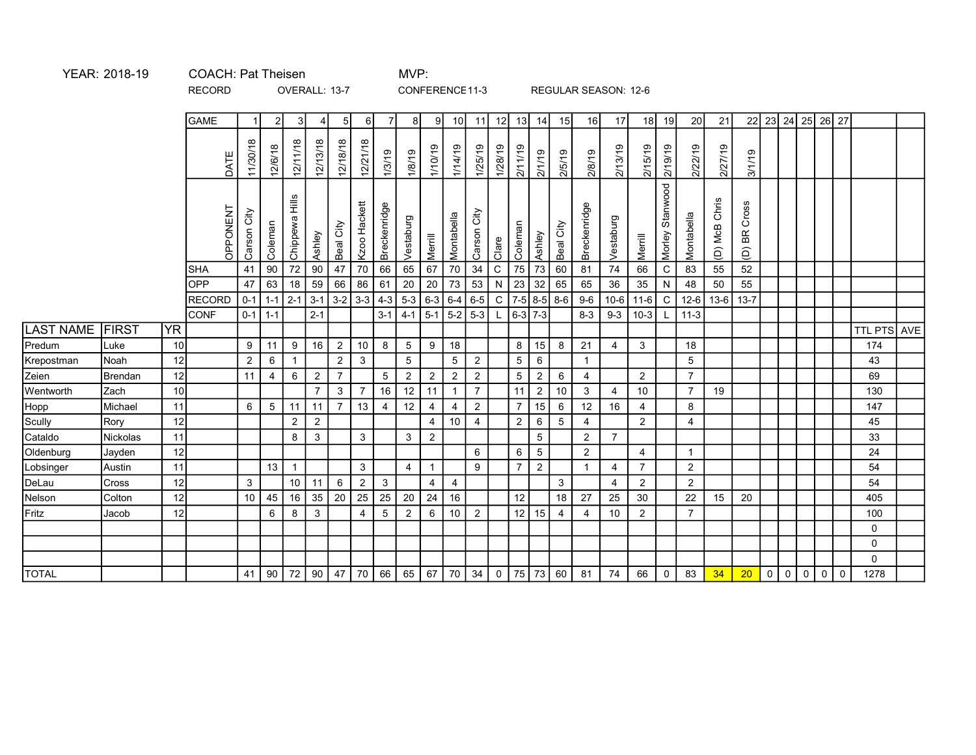OVERALL: 13-7 CONFERENCE11-3 REGULAR SEASON: 12-6

|                  |              |           | <b>GAME</b>   |                 | $\overline{2}$ | 3                       | 4                                                        | 5 <sub>l</sub>  | 6I             | $\overline{7}$ | 81              | -91            | 10                   | 11             | 12        | 13              | 14              | 15             | 16             | 17             |                | 18 19              | 20              | 21            |                                   | 22 23 24 25 26 27                      |         |                                    |                    |  |
|------------------|--------------|-----------|---------------|-----------------|----------------|-------------------------|----------------------------------------------------------|-----------------|----------------|----------------|-----------------|----------------|----------------------|----------------|-----------|-----------------|-----------------|----------------|----------------|----------------|----------------|--------------------|-----------------|---------------|-----------------------------------|----------------------------------------|---------|------------------------------------|--------------------|--|
|                  |              |           | DATE          | 11/30/18        | 12/6/18        | 12/11/18                | 12/13/18                                                 | 12/18/18        | 12/21/18       | 1/3/19         | 1/8/19          | 1/10/19        | 1/14/19              | 1/25/19        | 1/28/19   | 2/11/19         | 2/1/19          | 2/5/19         | 2/8/19         | 2/13/19        | 2/15/19        | 2/19/19            | 2/22/19         | 2/27/19       | 8/1/19                            |                                        |         |                                    |                    |  |
|                  |              |           | OPPONENT      | Carson City     | Coleman        | liiH<br><b>Chippewa</b> | Ashley                                                   | Beal City       | Kzoo Hackett   | Breckenridge   | Vestaburg       | Merrill        | Montabella           | City<br>Carson | Clare     | Coleman         | Ashley          | Beal City      | Breckenridge   | Vestaburg      | Merrill        | Stanwood<br>Morley | Montabella      | (D) McB Chris | Cross<br>ВR<br>$\widehat{\Theta}$ |                                        |         |                                    |                    |  |
|                  |              |           | <b>SHA</b>    | 41              | 90             |                         | 72 90                                                    | 47              | $70\,$         | 66             | 65              | 67             | 70                   | 34             | ${\bf C}$ | 75              | $73\,$          | 60             | 81             | 74             | 66             | $\mathtt{C}$       | 83              | 55            | 52                                |                                        |         |                                    |                    |  |
|                  |              |           | <b>OPP</b>    | 47              | 63             | 18                      | 59                                                       | 66              | 86             | 61             | 20              | 20             | 73                   | 53             |           | $N$   23        | $32\,$          | 65             | 65             | 36             | 35             | ${\sf N}$          | 48              | 50            | 55                                |                                        |         |                                    |                    |  |
|                  |              |           | <b>RECORD</b> | $0 - 1$         |                | $1-1$ 2-1 3-1           | $2 - 1$                                                  | $3-2$           | $3-3$          | $4-3$          | $5-3$ 6-3       | $\vert$ 5-1    | $6 - 4$<br>$5-2$ 5-3 | 6-5            |           | $6-3$ 7-3       | $C$   7-5   8-5 | $8-6$          | $9-6$          | $10 - 6$       | $11-6$         | $\mathsf C$        | $12-6$          |               | $13-6$ 13-7                       |                                        |         |                                    |                    |  |
| <b>LAST NAME</b> | <b>FIRST</b> | <b>YR</b> | <b>CONF</b>   | $0-1$           | $1 - 1$        |                         |                                                          |                 |                | $3-1$          | $4 - 1$         |                |                      |                | L         |                 |                 |                | $8 - 3$        | $9 - 3$        | $10-3$         |                    | $11-3$          |               |                                   |                                        |         |                                    | <b>TTL PTS AVE</b> |  |
| Predum           | Luke         | 10        |               | 9               | 11             | 9                       | 16                                                       | 2               | 10             | 8              | $5\phantom{.0}$ | 9              | 18                   |                |           | 8               | 15              | 8              | 21             | 4              | 3              |                    | 18              |               |                                   |                                        |         |                                    | 174                |  |
| Krepostman       | Noah         | 12        |               | $\overline{2}$  | $\,6\,$        | $\mathbf{1}$            |                                                          | $\sqrt{2}$      | $\mathbf{3}$   |                | $\overline{5}$  |                | $\sqrt{5}$           | $\overline{2}$ |           | $5\overline{)}$ | 6               |                |                |                |                |                    | $5\overline{)}$ |               |                                   |                                        |         |                                    | 43                 |  |
| Zeien            | Brendan      | 12        |               | 11              | 4              | 6                       | $\overline{2}$                                           | $\overline{7}$  |                | 5 <sub>5</sub> | $\overline{2}$  | $\overline{2}$ | $\overline{2}$       | $\overline{2}$ |           | $5\phantom{.0}$ | $\overline{2}$  | 6              | 4              |                | $\overline{2}$ |                    | $\overline{7}$  |               |                                   |                                        |         |                                    | 69                 |  |
| Wentworth        | Zach         | 10        |               |                 |                |                         | $\overline{7}$                                           | 3               | $\overline{7}$ | 16             | 12              | 11             | $\mathbf{1}$         | $\overline{7}$ |           | 11              | $\overline{2}$  | 10             | $\mathbf{3}$   | $\overline{4}$ | 10             |                    | $\overline{7}$  | 19            |                                   |                                        |         |                                    | 130                |  |
| Hopp             | Michael      | 11        |               | 6               | $\overline{5}$ | 11                      | 11                                                       | $\overline{7}$  | 13             | $\overline{4}$ | 12              | $\overline{4}$ | $\overline{4}$       | $\overline{2}$ |           | $\overline{7}$  | 15              | $\,6\,$        | 12             | 16             | $\overline{4}$ |                    | 8               |               |                                   |                                        |         |                                    | 147                |  |
| Scully           | Rory         | 12        |               |                 |                | 2                       | $\overline{2}$                                           |                 |                |                |                 | $\overline{4}$ | 10 <sup>1</sup>      | 4              |           | $\overline{2}$  | 6               | 5              | 4              |                | $\overline{2}$ |                    | 4               |               |                                   |                                        |         |                                    | 45                 |  |
| Cataldo          | Nickolas     | 11        |               |                 |                | 8                       | 3                                                        |                 | 3              |                | 3               | $\overline{2}$ |                      |                |           |                 | $\sqrt{5}$      |                | $\overline{2}$ | $\overline{7}$ |                |                    |                 |               |                                   |                                        |         |                                    | 33                 |  |
| Oldenburg        | Jayden       | 12        |               |                 |                |                         |                                                          |                 |                |                |                 |                |                      | 6              |           | 6               | $\sqrt{5}$      |                | $\overline{2}$ |                | 4              |                    | $\mathbf{1}$    |               |                                   |                                        |         |                                    | 24                 |  |
| Lobsinger        | Austin       | 11        |               |                 | 13             | $\mathbf{1}$            |                                                          |                 | 3              |                | $\overline{4}$  | $\mathbf{1}$   |                      | 9              |           | $\overline{7}$  | $\overline{2}$  |                |                | 4              | $\overline{7}$ |                    | $\overline{2}$  |               |                                   |                                        |         |                                    | 54                 |  |
| DeLau            | Cross        | 12        |               | $\mathbf{3}$    |                | 10 <sup>1</sup>         | 11                                                       | $6\phantom{1}6$ | $\overline{2}$ | $\mathbf{3}$   |                 | 4              | $\overline{4}$       |                |           |                 |                 | $\mathbf{3}$   |                | $\overline{4}$ | $\overline{2}$ |                    | $\overline{c}$  |               |                                   |                                        |         |                                    | 54                 |  |
| Nelson           | Colton       | 12        |               | 10 <sup>°</sup> | 45             | 16                      | 35                                                       | 20              | 25             | 25             | 20              | $\vert$ 24     | 16                   |                |           | 12              |                 | 18             | 27             | 25             | 30             |                    | 22              | 15            | 20                                |                                        |         |                                    | 405                |  |
| Fritz            | Jacob        | 12        |               |                 | 6              | 8                       | $\mathbf{3}$                                             |                 | $\overline{4}$ | 5              | $\overline{2}$  | 6              | 10                   | $\overline{2}$ |           | $12$ 15         |                 | $\overline{4}$ | 4              | 10             | $\overline{2}$ |                    | $\overline{7}$  |               |                                   |                                        |         |                                    | 100                |  |
|                  |              |           |               |                 |                |                         |                                                          |                 |                |                |                 |                |                      |                |           |                 |                 |                |                |                |                |                    |                 |               |                                   |                                        |         |                                    | $\mathbf{0}$       |  |
|                  |              |           |               |                 |                |                         |                                                          |                 |                |                |                 |                |                      |                |           |                 |                 |                |                |                |                |                    |                 |               |                                   |                                        |         |                                    | $\mathbf 0$        |  |
|                  |              |           |               |                 |                |                         |                                                          |                 |                |                |                 |                |                      |                |           |                 |                 |                |                |                |                |                    |                 |               |                                   |                                        |         |                                    | $\mathbf 0$        |  |
| <b>TOTAL</b>     |              |           |               |                 | $41$   90      |                         | 72   90   47   70   66   65   67   70   34   0   75   73 |                 |                |                |                 |                |                      |                |           |                 |                 | 60             | 81             | 74             | 66             | $\mathsf 0$        | 83              | 34            | 20                                | $\begin{array}{c c} 0 & 0 \end{array}$ | $\circ$ | $\mathsf{O}\xspace$<br>$\mathbf 0$ | 1278               |  |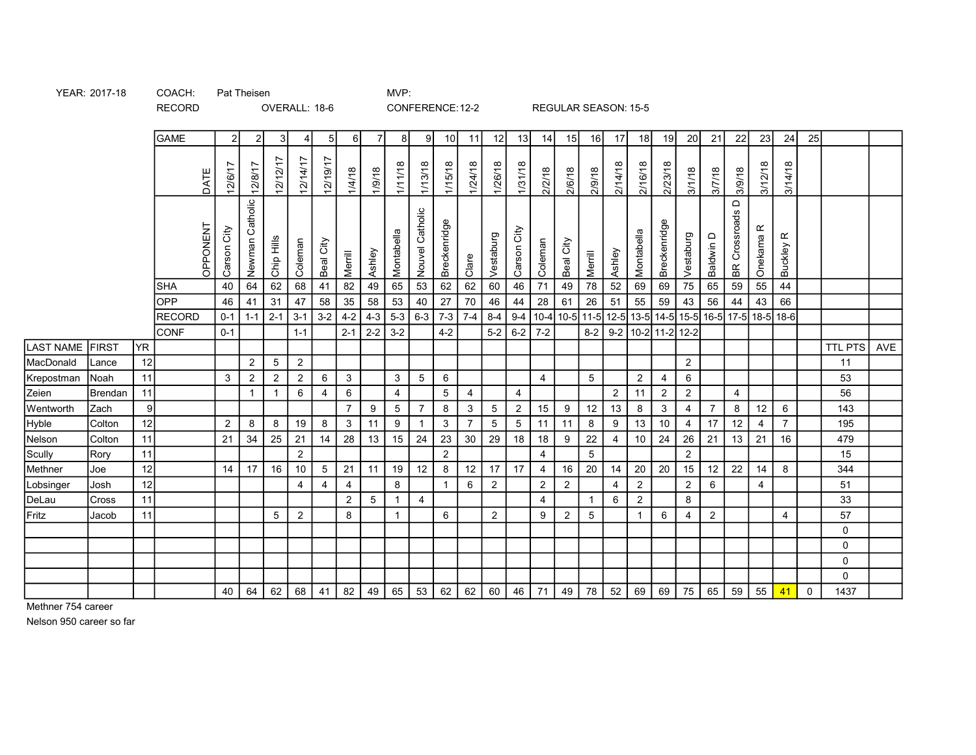YEAR: 2017-18 COACH: Pat Theisen MVP:

Pat Theisen

## OVERALL: 18-6 CONFERENCE:12-2 REGULAR SEASON: 15-5

|                                 |               |                      | <b>GAME</b> | $\overline{2}$ | 2                            | 3 <sup>l</sup>  | ◢              | 5 <sub>l</sub> | $6 \overline{6}$ | 7 <sup>1</sup> | 8               | 9 <sub>l</sub>  | 10              | 11              | 12             | 13             | 14             | 15               | 16             | 17             | 18             | 19                                                     | 20                                | 21             | 22                                           | 23                   | 24                   | 25          |                |     |
|---------------------------------|---------------|----------------------|-------------|----------------|------------------------------|-----------------|----------------|----------------|------------------|----------------|-----------------|-----------------|-----------------|-----------------|----------------|----------------|----------------|------------------|----------------|----------------|----------------|--------------------------------------------------------|-----------------------------------|----------------|----------------------------------------------|----------------------|----------------------|-------------|----------------|-----|
|                                 |               |                      | DATE        | 12/6/17        | 12/8/17                      | 12/12/17        | 12/14/17       | 12/19/17       | 1/4/18           | 1/9/18         | 1/11/18         | 1/13/18         | 1/15/18         | 1/24/18         | 1/26/18        | 1/31/18        | 2/2/18         | 2/6/18           | 2/9/18         | 2/14/18        | 2/16/18        | 2/23/18                                                | 3/1/18                            | 3/7/18         | 3/9/18                                       | 3/12/18              | 3/14/18              |             |                |     |
|                                 |               |                      | OPPONENT    | Carson City    | Newman Catholic              | Chip Hills      | Coleman        | Beal City      | Merrill          | Ashley         | Montabella      | Nouvel Catholic | Breckenridge    | Clare           | Vestaburg      | Carson City    | Coleman        | Beal City        | Merrill        | Ashley         | Montabella     | Breckenridge                                           | Vestaburg                         | Baldwin D      | $\qquad \qquad \Box$<br><b>BR</b> Crossroads | Onekama <sub>R</sub> | Buckley <sub>R</sub> |             |                |     |
|                                 |               |                      | SHA         | 40             | 64                           | 62              | $68$           | 41             | $\overline{82}$  | 49             | 65              | 53              | 62              | 62              | 60             | 46             | $71$           | 49               | ${\bf 78}$     | 52             | 69             | 69                                                     | $\overline{75}$                   | 65             | 59                                           | 55                   | 44                   |             |                |     |
|                                 |               |                      | OPP         | 46             | 41                           | 31              | $47\,$         | 58             | 35               | 58             | 53              | 40              | 27              | $\overline{70}$ | 46             | 44             | 28             | 61               | $26\,$         | 51             | 55             | 59                                                     | 43                                | 56             | 44                                           | 43                   | 66                   |             |                |     |
|                                 |               |                      | RECORD      | $0-1$          |                              | $1-1$ 2-1       | $3 - 1$        |                | $3-2$ 4-2        | $4-3$          | $5-3$           | $6-3$ 7-3       |                 | $7-4$           | $8-4$          | $9 - 4$        |                |                  |                |                |                | 10-4 10-5 11-5 12-5 13-5 14-5 15-5 16-5 17-5 18-5 18-6 |                                   |                |                                              |                      |                      |             |                |     |
|                                 |               |                      | CONF        | $0-1$          |                              |                 | $1 - 1$        |                | $2 - 1$          |                | $2-2$ 3-2       |                 | $4 - 2$         |                 | $5-2$          | $6-2$ 7-2      |                |                  |                |                |                | 8-2 9-2 10-2 11-2 12-2                                 |                                   |                |                                              |                      |                      |             |                |     |
| LAST NAME                       | FIRST         | YR <sup></sup><br>12 |             |                |                              |                 | $\overline{2}$ |                |                  |                |                 |                 |                 |                 |                |                |                |                  |                |                |                |                                                        |                                   |                |                                              |                      |                      |             | <b>TTL PTS</b> | AVE |
| MacDonald<br>Krepostman         | Lance<br>Noah | 11                   |             | 3              | $\overline{2}$<br>$\sqrt{2}$ | 5<br>$\sqrt{2}$ | $\overline{2}$ | $\,6\,$        | $\mathbf{3}$     |                | $\mathbf{3}$    | $5\overline{)}$ | $\,6\,$         |                 |                |                | 4              |                  | $\sqrt{5}$     |                | $\overline{2}$ | $\overline{4}$                                         | $\overline{2}$<br>$6\phantom{.}6$ |                |                                              |                      |                      |             | 11<br>53       |     |
| Zeien                           | Brendan       | 11                   |             |                | $\overline{1}$               | $\mathbf 1$     | 6              | 4              | 6                |                | $\overline{4}$  |                 | $5\phantom{.0}$ | 4               |                | 4              |                |                  |                | $\overline{2}$ | 11             | $\overline{2}$                                         | $\overline{2}$                    |                | 4                                            |                      |                      |             | 56             |     |
| Wentworth                       | Zach          | 9                    |             |                |                              |                 |                |                | $\overline{7}$   | 9              | $5\phantom{.0}$ | $\overline{7}$  | $\bf{8}$        | $\mathbf{3}$    | $\overline{5}$ | $\overline{a}$ | 15             | $9\,$            | 12             | 13             | 8              | $\mathbf{3}$                                           | $\overline{4}$                    | $\overline{7}$ | $\bf8$                                       | 12                   | $\,6\,$              |             | 143            |     |
| <u>Hyble</u>                    | Colton        | 12                   |             | $\overline{2}$ | 8                            | 8               | 19             | 8              | $\mathsf 3$      | 11             | $9\,$           |                 | $\mathbf{3}$    | $\overline{7}$  | $\overline{5}$ | $\sqrt{5}$     | 11             | 11               | 8              | $9\,$          | 13             | $10\,$                                                 | $\overline{4}$                    | 17             | 12                                           | $\overline{4}$       | $\overline{7}$       |             | 195            |     |
| Nelson                          | Colton        | 11                   |             | 21             | 34                           | 25              | 21             | 14             | 28               | 13             | 15              | 24              | 23              | 30              | 29             | 18             | 18             | $\boldsymbol{9}$ | 22             | 4              | 10             | 24                                                     | 26                                | 21             | 13                                           | 21                   | 16                   |             | 479            |     |
| Scully                          | Rory          | 11                   |             |                |                              |                 | $\overline{2}$ |                |                  |                |                 |                 | $\overline{2}$  |                 |                |                | $\overline{4}$ |                  | $\overline{5}$ |                |                |                                                        | $\overline{2}$                    |                |                                              |                      |                      |             | 15             |     |
| Methner                         | Joe           | 12                   |             | 14             | 17                           | 16              | 10             | $\sqrt{5}$     | $21$             | 11             | 19              | 12              | 8               | 12              | 17             | 17             | $\overline{4}$ | 16               | 20             | 14             | 20             | 20                                                     | 15                                | 12             | 22                                           | 14                   | 8                    |             | 344            |     |
|                                 | Josh          | 12                   |             |                |                              |                 | 4              | 4              | 4                |                | 8               |                 |                 | 6               | $\overline{2}$ |                | $\overline{2}$ | $\overline{2}$   |                | 4              | $\overline{2}$ |                                                        | $\overline{2}$                    | 6              |                                              | $\overline{4}$       |                      |             | 51             |     |
| <mark>Lobsinger</mark><br>DeLau | <b>Cross</b>  | 11                   |             |                |                              |                 |                |                | $\overline{2}$   | 5              | $\overline{1}$  | 4               |                 |                 |                |                | 4              |                  |                | 6              | 2              |                                                        | 8                                 |                |                                              |                      |                      |             | 33             |     |
| Fritz                           | Jacob         | 11                   |             |                |                              | 5               | 2              |                | 8                |                | $\mathbf{1}$    |                 | 6               |                 | $\overline{2}$ |                | 9              | $\overline{2}$   | $\,$ 5 $\,$    |                | $\overline{1}$ | $6\phantom{.}6$                                        | 4                                 | $\overline{2}$ |                                              |                      | 4                    |             | 57             |     |
|                                 |               |                      |             |                |                              |                 |                |                |                  |                |                 |                 |                 |                 |                |                |                |                  |                |                |                |                                                        |                                   |                |                                              |                      |                      |             | $\mathbf 0$    |     |
|                                 |               |                      |             |                |                              |                 |                |                |                  |                |                 |                 |                 |                 |                |                |                |                  |                |                |                |                                                        |                                   |                |                                              |                      |                      |             | $\mathbf 0$    |     |
|                                 |               |                      |             |                |                              |                 |                |                |                  |                |                 |                 |                 |                 |                |                |                |                  |                |                |                |                                                        |                                   |                |                                              |                      |                      |             | $\mathbf 0$    |     |
|                                 |               |                      |             |                |                              |                 |                |                |                  |                |                 |                 |                 |                 |                |                |                |                  |                |                |                |                                                        |                                   |                |                                              |                      |                      |             | $\mathbf 0$    |     |
|                                 |               |                      |             | 40             | 64                           | 62              | 68             | 41             | 82               | 49             | 65              | 53              | 62              | 62              | 60             | 46             | 71             | 49               | 78             | 52             | 69             | 69                                                     | 75                                | 65             | 59                                           | 55                   | 41                   | $\mathbf 0$ | 1437           |     |

Methner 754 career

Nelson 950 career so far

RECORD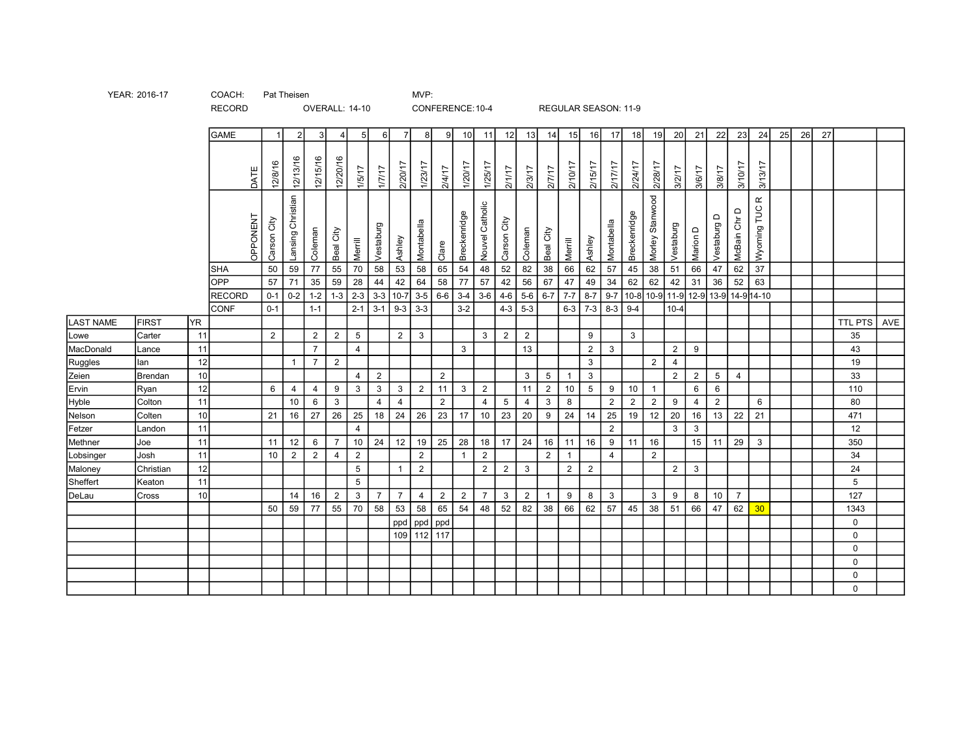|                  |           |           | <b>GAME</b>   |             | $\mathfrak{p}$    | $\mathcal{E}$  | $\Delta$       |                 | 6I             | $\overline{7}$ | 8              | -91            | 10 <sup>1</sup> | 11              | 12              | 13              | 14               | 15             | 16              | 17             | 18             | 19              | 20             | 21             | 22                             | 23                        | 24                       | 25 | 26 | 27 |              |     |
|------------------|-----------|-----------|---------------|-------------|-------------------|----------------|----------------|-----------------|----------------|----------------|----------------|----------------|-----------------|-----------------|-----------------|-----------------|------------------|----------------|-----------------|----------------|----------------|-----------------|----------------|----------------|--------------------------------|---------------------------|--------------------------|----|----|----|--------------|-----|
|                  |           |           | DATE          | 12/8/16     | 12/13/16          | 12/15/16       | 12/20/16       | 1/5/17          | 1/17           | 2/20/17        | 1/23/17        | 2/4/17         | 1/20/17         | 1/25/17         | 21117           | 2/3/17          | 2/7/17           | 2/10/17        | 2/15/17         | 2/17/17        | 2/24/17        | 2/28/17         | 3/2/17         | 3/6/17         | 3/8/17                         | 3/10/17                   | 3/13/17                  |    |    |    |              |     |
|                  |           |           | OPPONENT      | Carson City | Lansing Christian | Coleman        | Beal City      | Merrill         | Vestaburg      | Ashley         | Montabella     | Clare          | Breckenridge    | Nouvel Catholic | Carson City     | Coleman         | Beal City        | Merrill        | Ashley          | Montabella     | Breckenridge   | Morley Stanwood | Vestaburg      | Marion D       | $\mathsf{\Omega}$<br>Vestaburg | McBain Chr D              | $\propto$<br>Wyoming TUC |    |    |    |              |     |
|                  |           |           | <b>SHA</b>    | 50          | 59                | 77             | 55             | 70              | 58             | 53             | 58             | 65             | 54              | 48              | 52              | $\overline{82}$ | 38               | 66             | 62              | 57             | 45             | 38              | 51             | 66             | 47                             | 62                        | 37                       |    |    |    |              |     |
|                  |           |           | OPP           | 57          | 71                | 35             | 59             | 28              | 44             | 42             | 64             | 58             | 77              | 57              | 42              | 56              | 67               | 47             | 49              | $34\,$         | 62             | 62              | 42             | 31             | 36                             | 52                        | 63                       |    |    |    |              |     |
|                  |           |           | <b>RECORD</b> | $0 - 1$     | $0-2$             | $1 - 2$        | $1 - 3$        | $2 - 3$         | $3-3$          | $10-7$         | $3-5$          | $6-6$          | $3-4$           | $3-6$           | $4-6$           | $5-6$           | $6 - 7$          | $7 - 7$        | $8-7$           | $9 - 7$        | $10 - 8$       | $10-9$          |                |                |                                | 11-9 12-9 13-9 14-9 14-10 |                          |    |    |    |              |     |
|                  |           |           | <b>CONF</b>   | $0 - 1$     |                   | $1 - 1$        |                | $2 - 1$         | $3-1$          | $9 - 3$        | $3-3$          |                | $3 - 2$         |                 | $4-3$           | $5-3$           |                  | $6-3$ 7-3      |                 | $8-3$ 9-4      |                |                 | $10 - 4$       |                |                                |                           |                          |    |    |    |              |     |
| <b>LAST NAME</b> | FIRST     | <b>YR</b> |               |             |                   |                |                |                 |                |                |                |                |                 |                 |                 |                 |                  |                |                 |                |                |                 |                |                |                                |                           |                          |    |    |    | TTL PTS      | AVE |
| Lowe             | Carter    | 11        |               | 2           |                   | $\overline{2}$ | 2              | 5               |                | $2^{\circ}$    | $\mathbf{3}$   |                |                 | 3               | $\overline{2}$  | $\overline{2}$  |                  |                | 9               |                | $\mathbf{3}$   |                 |                |                |                                |                           |                          |    |    |    | 35           |     |
| MacDonald        | Lance     | 11        |               |             |                   | $\overline{7}$ |                | $\overline{4}$  |                |                |                |                | $\mathbf{3}$    |                 |                 | 13              |                  |                | $2^{\circ}$     | $\mathbf{3}$   |                |                 | $\overline{2}$ | 9              |                                |                           |                          |    |    |    | 43           |     |
| Ruggles          | llan      | 12        |               |             | $\mathbf{1}$      | $\overline{7}$ | 2              |                 |                |                |                |                |                 |                 |                 |                 |                  |                | $\mathbf{3}$    |                |                | $\overline{2}$  | $\overline{4}$ |                |                                |                           |                          |    |    |    | 19           |     |
| Zeien            | Brendan   | 10        |               |             |                   |                |                | 4               | 2              |                |                | 2              |                 |                 |                 | $3^{\circ}$     | $5\phantom{.0}$  |                | $\mathbf{3}$    |                |                |                 | $2^{\circ}$    | $\overline{2}$ | 5                              | $\overline{4}$            |                          |    |    |    | 33           |     |
| Ervin            | Ryan      | 12        |               | 6           | $\overline{4}$    | 4              | 9              | $\mathbf{3}$    | $\mathbf{3}$   | 3 <sup>1</sup> | $\overline{2}$ | 11             | $\mathbf{3}$    | $\overline{2}$  |                 | 11              | $\overline{2}$   | 10             | $5\phantom{.0}$ | 9              | 10             | $\overline{1}$  |                | 6              | 6                              |                           |                          |    |    |    | 110          |     |
| Hyble            | Colton    | 11        |               |             | 10                | 6              | $\mathbf{3}$   |                 | $\overline{4}$ | $\overline{4}$ |                | $\overline{2}$ |                 | $\overline{4}$  | $5\phantom{.0}$ | $\overline{4}$  | $\mathbf{3}$     | 8              |                 | $\overline{2}$ | $\overline{2}$ | $\overline{2}$  | $9\,$          | 4              | $\overline{2}$                 |                           | 6                        |    |    |    | 80           |     |
| Nelson           | Colten    | 10        |               | 21          | 16                | 27             | 26             | 25              | 18             | 24             | 26             | 23             | 17              | 10              | 23              | 20              | $\boldsymbol{9}$ | 24             | 14              | 25             | 19             | 12              | $20\degree$    | 16             | 13                             | 22                        | 21                       |    |    |    | 471          |     |
| Fetzer           | Landon    | 11        |               |             |                   |                |                | $\overline{4}$  |                |                |                |                |                 |                 |                 |                 |                  |                |                 | $\overline{2}$ |                |                 | 3              | 3              |                                |                           |                          |    |    |    | 12           |     |
| Methner          | Joe       | 11        |               | 11          | 12                | 6              | $\overline{7}$ | 10              | 24             | 12             | 19             | 25             | 28              | 18              | 17              | 24              | 16               | 11             | 16              | 9              | 11             | 16              |                | 15             | 11                             | 29                        | $\mathbf{3}$             |    |    |    | 350          |     |
| Lobsinger        | Josh      | 11        |               | 10          | $\overline{2}$    | $\overline{2}$ | $\overline{4}$ | $\overline{2}$  |                |                | 2              |                | -1              | 2               |                 |                 | 2                | $\overline{1}$ |                 | $\overline{4}$ |                | $\overline{2}$  |                |                |                                |                           |                          |    |    |    | 34           |     |
| Maloney          | Christian | 12        |               |             |                   |                |                | 5               |                | $\mathbf{1}$   | $\overline{2}$ |                |                 | $\overline{2}$  | $\overline{2}$  | $\mathbf{3}$    |                  | $\overline{2}$ | $\overline{2}$  |                |                |                 | $\overline{2}$ | 3              |                                |                           |                          |    |    |    | 24           |     |
| Sheffert         | Keaton    | 11        |               |             |                   |                |                | $5\phantom{.0}$ |                |                |                |                |                 |                 |                 |                 |                  |                |                 |                |                |                 |                |                |                                |                           |                          |    |    |    | 5            |     |
| DeLau            | Cross     | 10        |               |             | 14                | 16             | $\overline{2}$ | $\mathbf{3}$    | $\overline{7}$ | $\overline{7}$ | $\overline{4}$ | $\overline{2}$ | $\overline{2}$  | $\overline{7}$  | $\mathbf{3}$    | $\overline{2}$  | $\overline{1}$   | 9              | 8               | $\mathbf{3}$   |                | 3               | 9              | 8              | 10                             | $\overline{7}$            |                          |    |    |    | 127          |     |
|                  |           |           |               | 50          | 59                | 77             | 55             | 70              | 58             | 53             | 58             | 65             | 54              | 48              | 52              | 82              | 38               | 66             | 62              | 57             | 45             | 38              | 51             | 66             | 47                             | 62                        | 30                       |    |    |    | 1343         |     |
|                  |           |           |               |             |                   |                |                |                 |                |                | ppd ppd ppd    |                |                 |                 |                 |                 |                  |                |                 |                |                |                 |                |                |                                |                           |                          |    |    |    | $\mathbf{0}$ |     |
|                  |           |           |               |             |                   |                |                |                 |                |                | 109 112 117    |                |                 |                 |                 |                 |                  |                |                 |                |                |                 |                |                |                                |                           |                          |    |    |    | $\mathbf{0}$ |     |
|                  |           |           |               |             |                   |                |                |                 |                |                |                |                |                 |                 |                 |                 |                  |                |                 |                |                |                 |                |                |                                |                           |                          |    |    |    | $\mathbf 0$  |     |
|                  |           |           |               |             |                   |                |                |                 |                |                |                |                |                 |                 |                 |                 |                  |                |                 |                |                |                 |                |                |                                |                           |                          |    |    |    | $\Omega$     |     |
|                  |           |           |               |             |                   |                |                |                 |                |                |                |                |                 |                 |                 |                 |                  |                |                 |                |                |                 |                |                |                                |                           |                          |    |    |    | 0            |     |
|                  |           |           |               |             |                   |                |                |                 |                |                |                |                |                 |                 |                 |                 |                  |                |                 |                |                |                 |                |                |                                |                           |                          |    |    |    | $\Omega$     |     |

YEAR: 2016-17 COACH: Pat Theisen COACH: Pat Theisen

RECORD

OVERALL: 14-10 CONFERENCE:10-4 REGULAR SEASON: 11-9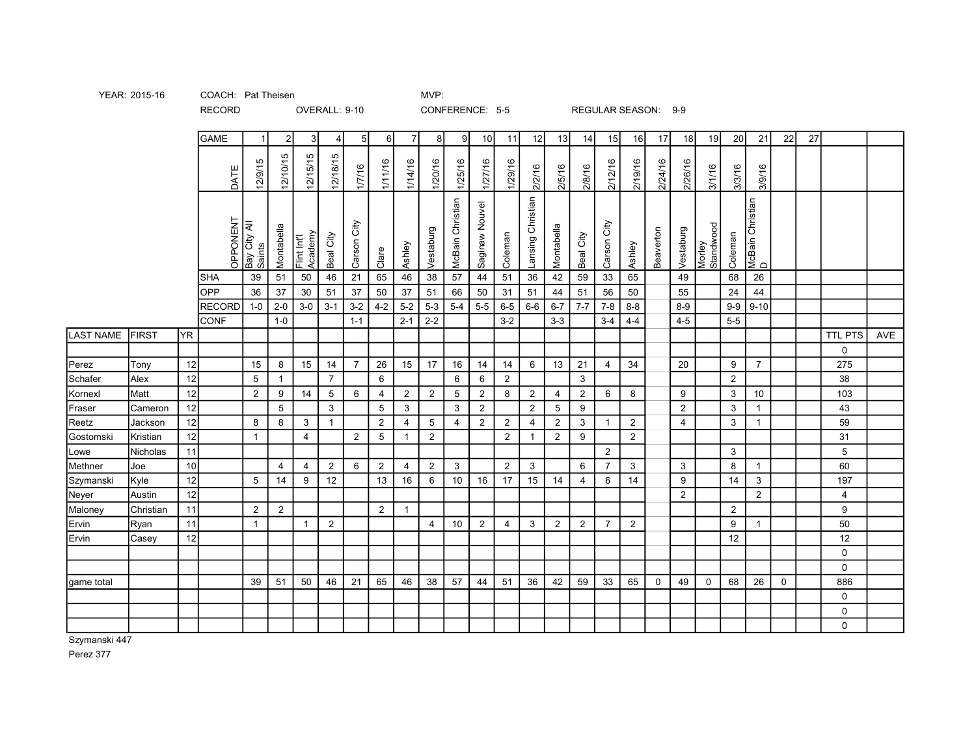| YEAR: 2015-1 |
|--------------|
|--------------|

YEAR: 2015-16 COACH: Pat Theisen COACH: Pat Theisen

RECORD

## OVERALL: 9-10 CONFERENCE: 5-5 REGULAR SEASON: 9-9

|                  |              |           | <b>GAME</b>   | $\vert$ 1              | $\overline{2}$   | 3 <sup>1</sup>         | $\overline{4}$  | 5               | 6               | 71             | 8               | 91                      | 10             | 11             | 12                | 13             | 14             | 15             | 16             | 17          | 18             | 19                  | 20             | 21                    | 22          | 27 |             |     |
|------------------|--------------|-----------|---------------|------------------------|------------------|------------------------|-----------------|-----------------|-----------------|----------------|-----------------|-------------------------|----------------|----------------|-------------------|----------------|----------------|----------------|----------------|-------------|----------------|---------------------|----------------|-----------------------|-------------|----|-------------|-----|
|                  |              |           | DATE          | 12/9/15                | 12/10/15         | 12/15/15               | 12/18/15        | 1/7/16          | 1/11/16         | 1/14/16        | 1/20/16         | 1/25/16                 | 1/27/16        | 1/29/16        | 2/2/16            | 2/5/16         | 2/8/16         | 2/12/16        | 2/19/16        | 2/24/16     | 2/26/16        | 3/1/16              | 3/3/16         | 3/9/16                |             |    |             |     |
|                  |              |           | OPPONENT      | Bay City All<br>Saints | Montabella       | Flint Int'l<br>Academy | Beal City       | Gity<br>Carson  | Clare           | Ashley         | Vestaburg       | <b>McBain Christian</b> | Saginaw Nouvel | Coleman        | Lansing Christian | Montabella     | Beal City      | City<br>Carson | Ashley         | Beaverton   | Vestaburg      | Morley<br>Standwood | Coleman        | McBain Christian<br>D |             |    |             |     |
|                  |              |           | <b>SHA</b>    | $39\,$                 | $\overline{51}$  | $50\,$                 | 46              | $\overline{21}$ | 65              | $\sqrt{46}$    | $\overline{38}$ | $\overline{57}$         | 44             | 51             | 36                | 42             | 59             | 33             | 65             |             | 49             |                     | 68             | 26                    |             |    |             |     |
|                  |              |           | <b>OPP</b>    | 36                     | 37               | $30\,$                 | 51              | 37              | 50              | 37             | 51              | 66                      | $50\,$         | 31             | 51                | 44             | 51             | 56             | 50             |             | 55             |                     | 24             | 44                    |             |    |             |     |
|                  |              |           | <b>RECORD</b> | $1-0$                  | $2-0$            | $3-0$                  | $3 - 1$         | $3-2$           | $4 - 2$         | $5 - 2$        | $5-3$           | $5-4$                   | $5-5$          | $6-5$          | $6-6$             | $6 - 7$        | $7 - 7$        | $7 - 8$        | $8 - 8$        |             | $8-9$          |                     | $9-9$          | $9 - 10$              |             |    |             |     |
|                  |              |           | CONF          |                        | $1 - 0$          |                        |                 | $1 - 1$         |                 | $2 - 1$        | $2 - 2$         |                         |                | $3 - 2$        |                   | $3 - 3$        |                | $3-4$          | $4 - 4$        |             | $4 - 5$        |                     | $5-5$          |                       |             |    |             |     |
| <b>LAST NAME</b> | <b>FIRST</b> | <b>YR</b> |               |                        |                  |                        |                 |                 |                 |                |                 |                         |                |                |                   |                |                |                |                |             |                |                     |                |                       |             |    | TTL PTS     | AVE |
|                  |              |           |               |                        |                  |                        |                 |                 |                 |                |                 |                         |                |                |                   |                |                |                |                |             |                |                     |                |                       |             |    | $\mathbf 0$ |     |
| Perez            | Tony         | 12        |               | 15                     | 8                | 15                     | 14              | $\overline{7}$  | 26              | 15             | 17              | 16                      | 14             | 14             | $6\overline{6}$   | 13             | 21             | $\overline{4}$ | 34             |             | 20             |                     | 9              | $\overline{7}$        |             |    | 275         |     |
| Schafer          | Alex         | 12        |               | 5                      | $\mathbf{1}$     |                        | $\overline{7}$  |                 | 6               |                |                 | 6                       | 6              | $\mathbf{2}$   |                   |                | $\mathbf{3}$   |                |                |             |                |                     | $\overline{2}$ |                       |             |    | 38          |     |
| Kornexl          | Matt         | 12        |               | $\mathbf{2}$           | $\boldsymbol{9}$ | 14                     | $5\phantom{.0}$ | 6               | $\overline{4}$  | $\overline{2}$ | $\overline{2}$  | $5\phantom{.0}$         | $\overline{2}$ | 8              | $\overline{2}$    | $\overline{4}$ | $\overline{2}$ | 6              | 8              |             | 9              |                     | $\mathbf{3}$   | 10                    |             |    | 103         |     |
| Fraser           | Cameron      | 12        |               |                        | $5\phantom{.0}$  |                        | $\mathbf{3}$    |                 | 5               | $\mathbf{3}$   |                 | $\mathbf{3}$            | $\overline{2}$ |                | $\overline{2}$    | $\sqrt{5}$     | 9              |                |                |             | $\overline{2}$ |                     | $\mathbf{3}$   | $\mathbf{1}$          |             |    | 43          |     |
| Reetz            | Jackson      | 12        |               | 8                      | 8                | 3                      | $\overline{1}$  |                 | $\overline{2}$  | 4              | $5\phantom{.0}$ | $\overline{4}$          | $\overline{2}$ | $\overline{2}$ | 4                 | $\overline{2}$ | $\mathbf{3}$   | $\overline{1}$ | $\overline{2}$ |             | $\overline{4}$ |                     | $\mathbf{3}$   | $\mathbf{1}$          |             |    | 59          |     |
| Gostomski        | Kristian     | 12        |               | $\overline{1}$         |                  | $\overline{4}$         |                 | 2               | $5\phantom{.0}$ | $\overline{1}$ | $\overline{2}$  |                         |                | $\overline{2}$ | $\overline{1}$    | $\overline{2}$ | 9              |                | $\overline{2}$ |             |                |                     |                |                       |             |    | 31          |     |
| Lowe             | Nicholas     | 11        |               |                        |                  |                        |                 |                 |                 |                |                 |                         |                |                |                   |                |                | $\overline{2}$ |                |             |                |                     | $\mathbf{3}$   |                       |             |    | 5           |     |
| Methner          | Joe          | 10        |               |                        | 4                | 4                      | $\overline{2}$  | 6               | $\overline{2}$  | 4              | $\overline{2}$  | $\mathbf{3}$            |                | $\overline{2}$ | $\mathbf{3}$      |                | 6              | $\overline{7}$ | $\mathbf{3}$   |             | $\mathbf{3}$   |                     | 8              | $\mathbf{1}$          |             |    | 60          |     |
| Szymanski        | Kyle         | 12        |               | 5                      | 14               | 9                      | 12              |                 | 13              | 16             | 6               | 10                      | 16             | 17             | 15                | 14             | $\overline{4}$ | 6              | 14             |             | 9              |                     | 14             | $\mathbf{3}$          |             |    | 197         |     |
| Neyer            | Austin       | 12        |               |                        |                  |                        |                 |                 |                 |                |                 |                         |                |                |                   |                |                |                |                |             | $\overline{2}$ |                     |                | $\overline{2}$        |             |    | 4           |     |
| Maloney          | Christian    | 11        |               | $\overline{2}$         | $\overline{2}$   |                        |                 |                 | $\overline{2}$  | $\overline{1}$ |                 |                         |                |                |                   |                |                |                |                |             |                |                     | $\overline{2}$ |                       |             |    | 9           |     |
| Ervin            | Ryan         | 11        |               | $\overline{1}$         |                  | $\mathbf 1$            | 2               |                 |                 |                | 4               | 10                      | 2              | 4              | 3                 | 2              | 2              | $\overline{7}$ | $\overline{2}$ |             |                |                     | 9              |                       |             |    | 50          |     |
| Ervin            | Casey        | 12        |               |                        |                  |                        |                 |                 |                 |                |                 |                         |                |                |                   |                |                |                |                |             |                |                     | 12             |                       |             |    | 12          |     |
|                  |              |           |               |                        |                  |                        |                 |                 |                 |                |                 |                         |                |                |                   |                |                |                |                |             |                |                     |                |                       |             |    | $\mathbf 0$ |     |
|                  |              |           |               |                        |                  |                        |                 |                 |                 |                |                 |                         |                |                |                   |                |                |                |                |             |                |                     |                |                       |             |    | $\mathbf 0$ |     |
| game total       |              |           |               | 39                     | 51               | 50                     | 46              | 21              | 65              | 46             | 38              | 57                      | 44             | 51             | 36                | 42             | 59             | 33             | 65             | $\mathbf 0$ | 49             | $\mathbf 0$         | 68             | 26                    | $\mathbf 0$ |    | 886         |     |
|                  |              |           |               |                        |                  |                        |                 |                 |                 |                |                 |                         |                |                |                   |                |                |                |                |             |                |                     |                |                       |             |    | $\mathbf 0$ |     |
|                  |              |           |               |                        |                  |                        |                 |                 |                 |                |                 |                         |                |                |                   |                |                |                |                |             |                |                     |                |                       |             |    | 0           |     |
|                  |              |           |               |                        |                  |                        |                 |                 |                 |                |                 |                         |                |                |                   |                |                |                |                |             |                |                     |                |                       |             |    | $\Omega$    |     |
|                  |              |           |               |                        |                  |                        |                 |                 |                 |                |                 |                         |                |                |                   |                |                |                |                |             |                |                     |                |                       |             |    |             |     |

Szymanski 447

Perez 377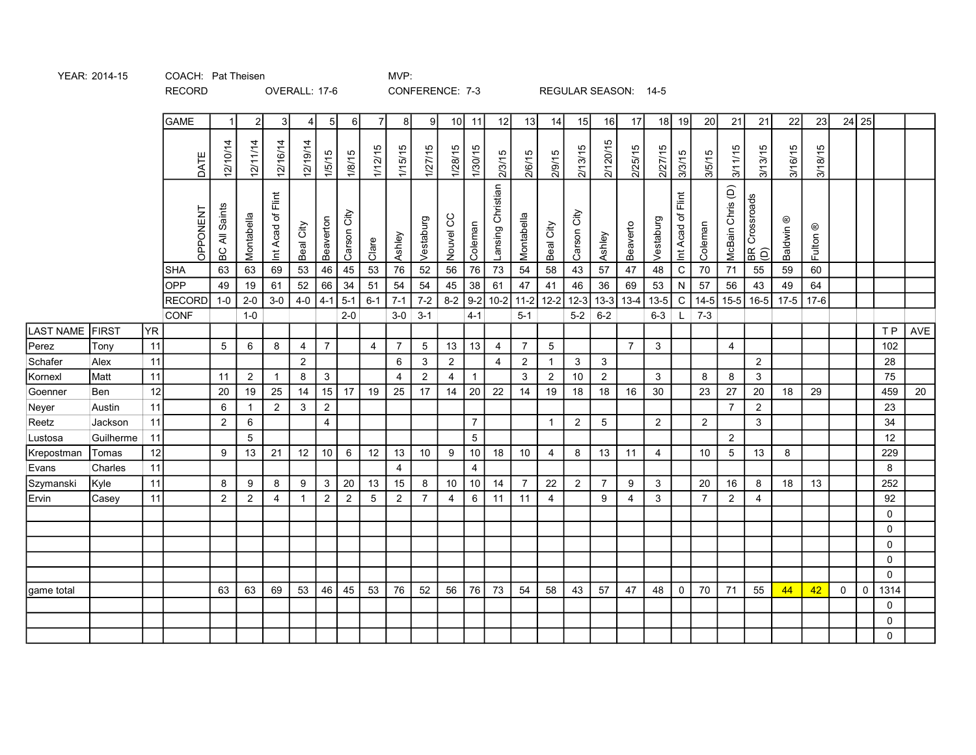|                     |              |    | <b>GAME</b>   |                      | $\overline{2}$  | 3                 | $\overline{4}$ | 5 <sub>l</sub> | 6I             | $\overline{7}$  | 8               | 9                         | 10              | 11              | 12                | 13             | 14                      | 15             | 16              | 17             | 18             | 19                | 20             | 21               | 21                   | 22                   | 23                  |                  | 24 25       |      |     |
|---------------------|--------------|----|---------------|----------------------|-----------------|-------------------|----------------|----------------|----------------|-----------------|-----------------|---------------------------|-----------------|-----------------|-------------------|----------------|-------------------------|----------------|-----------------|----------------|----------------|-------------------|----------------|------------------|----------------------|----------------------|---------------------|------------------|-------------|------|-----|
|                     |              |    | DATE          | 12/10/14             | 12/11/14        | 12/16/14          | 12/19/14       | 1/5/15         | 1/8/15         | 1/12/15         | 1/15/15         | 1/27/15                   | 1/28/15         | 1/30/15         | 2/3/15            | 2/6/15         | 2/9/15                  | 2/13/15        | 2/120/15        | 2/25/15        | 2/27/15        | 3/3/15            | 3/5/15         | 3/11/15          | 3/13/15              | 3/16/15              | 3/18/15             |                  |             |      |     |
|                     |              |    | OPPONENT      | <b>BC All Saints</b> | Montabella      | Int Acad of Flint | Beal City      | Beaverton      | Carson City    | Clare           | Ashley          | Vestaburg                 | Nouvel CC       | Coleman         | Lansing Christian | Montabella     | Beal City               | Carson City    | Ashley          | Beaverto       | Vestaburg      | Int Acad of Flint | Coleman        | McBain Chris (D) | BR Crossroads<br>(D) | Baldwin <sup>®</sup> | Fulton <sup>®</sup> |                  |             |      |     |
|                     |              |    | <b>SHA</b>    | 63                   | 63              | 69                | 53             | 46             | 45             | $\overline{53}$ | $\overline{76}$ | 52                        | $\overline{56}$ | $\overline{76}$ | $\overline{73}$   | 54             | 58                      | 43             | $\overline{57}$ | 47             | 48             | $\overline{c}$    | 70             | $\overline{71}$  | $\overline{55}$      | 59                   | 60                  |                  |             |      |     |
|                     |              |    | <b>OPP</b>    | 49                   | 19              | 61                | 52             | 66             | 34             | 51              | 54              | 54                        | $\sqrt{45}$     | $38$            | 61                | 47             | 41                      | 46             | 36              | 69             | 53             | ${\sf N}$         | 57             | $\overline{56}$  | 43                   | 49                   | 64                  |                  |             |      |     |
|                     |              |    | <b>RECORD</b> | $1-0$                | $2-0$           | $3-0$             | $4-0$          | $4 - 1$        | $5-1$          | $6 - 1$         | $7 - 1$         | $7-2$                     | $8 - 2$         | $9-2$           | $10-2$            | $11-2$         | $12 - 2$                | $12-3$         | $13-3$          | $13-4$         | $13-5$         | $\overline{C}$    | $14 - 5$       | $15-5$           | $16-5$               | $17 - 5$             | $17-6$              |                  |             |      |     |
|                     |              |    | CONF          |                      | $1-0$           |                   |                |                | $2 - 0$        |                 | $3-0$           | $3 - 1$                   |                 | $4 - 1$         |                   | $5 - 1$        |                         | $5-2$ 6-2      |                 |                | $6 - 3$        |                   | $L$ 7-3        |                  |                      |                      |                     |                  |             |      |     |
| LAST NAME           | <b>FIRST</b> | YR |               |                      |                 |                   |                |                |                |                 |                 |                           |                 |                 |                   |                |                         |                |                 |                |                |                   |                |                  |                      |                      |                     |                  |             | T P  | AVE |
| Perez               | Tony         | 11 |               | $\sqrt{5}$           | $6\phantom{.}6$ | 8                 | 4              | $\overline{7}$ |                | $\overline{4}$  | $\overline{7}$  | $\sqrt{5}$                | 13              | 13              | $\overline{4}$    | $\overline{7}$ | $5\phantom{.0}$         |                |                 | $\overline{7}$ | 3              |                   |                | 4                |                      |                      |                     |                  |             | 102  |     |
| Schafer             | Alex         | 11 |               |                      |                 |                   | $\sqrt{2}$     |                |                |                 | 6               | $\ensuremath{\mathsf{3}}$ | $\overline{2}$  |                 | $\overline{4}$    | $\overline{c}$ | $\overline{\mathbf{1}}$ | $\mathbf{3}$   | 3               |                |                |                   |                |                  | $\overline{2}$       |                      |                     |                  |             | 28   |     |
| Kornexl             | Matt         | 11 |               | 11                   | $\overline{2}$  | 1                 | 8              | 3              |                |                 | 4               | $\overline{2}$            | 4               | $\overline{1}$  |                   | 3              | $\overline{2}$          | 10             | $\overline{2}$  |                | 3              |                   | 8              | 8                | $\mathbf{3}$         |                      |                     |                  |             | 75   |     |
| Goenner             | Ben          | 12 |               | 20                   | 19              | 25                | 14             | 15             | 17             | 19              | 25              | 17                        | 14              | $20\,$          | 22                | 14             | 19                      | $18$           | 18              | 16             | 30             |                   | 23             | 27               | 20                   | 18                   | 29                  |                  |             | 459  | 20  |
| Neyer               | Austin       | 11 |               | 6                    | $\mathbf{1}$    | $\overline{2}$    | $\mathbf{3}$   | $\overline{2}$ |                |                 |                 |                           |                 |                 |                   |                |                         |                |                 |                |                |                   |                | $\overline{7}$   | $\overline{2}$       |                      |                     |                  |             | 23   |     |
| Reetz               | Jackson      | 11 |               | 2                    | 6               |                   |                | $\overline{4}$ |                |                 |                 |                           |                 | $\overline{7}$  |                   |                | $\overline{1}$          | $\overline{2}$ | 5               |                | $\overline{2}$ |                   | $\overline{2}$ |                  | $\mathbf{3}$         |                      |                     |                  |             | 34   |     |
| Lustosa             | Guilherme    | 11 |               |                      | $5\phantom{.0}$ |                   |                |                |                |                 |                 |                           |                 | $\overline{5}$  |                   |                |                         |                |                 |                |                |                   |                | $\overline{2}$   |                      |                      |                     |                  |             | 12   |     |
| Krepostman<br>Evans | Tomas        | 12 |               | 9                    | 13              | 21                | 12             | $10$           | $\,6\,$        | 12              | 13              | $10\,$                    | $9\,$           | $10\,$          | 18                | 10             | $\overline{4}$          | 8              | 13              | 11             | 4              |                   | 10             | $\sqrt{5}$       | 13                   | 8                    |                     |                  |             | 229  |     |
|                     | Charles      | 11 |               |                      |                 |                   |                |                |                |                 | 4               |                           |                 | $\overline{4}$  |                   |                |                         |                |                 |                |                |                   |                |                  |                      |                      |                     |                  |             | 8    |     |
| Szymanski<br>Ervin  | Kyle         | 11 |               | 8                    | 9               | 8                 | 9              | $\mathbf{3}$   | 20             | 13              | 15              | 8                         | 10              | 10              | 14                | 7              | 22                      | $\overline{2}$ | $\overline{7}$  | 9              | 3              |                   | 20             | 16               | 8                    | 18                   | 13                  |                  |             | 252  |     |
|                     | Casey        | 11 |               | $\overline{2}$       | $\overline{2}$  | $\overline{4}$    |                | $\sqrt{2}$     | $\overline{2}$ | $\sqrt{5}$      | $\overline{2}$  | $\overline{7}$            | 4               | $\,6\,$         | 11                | 11             | $\overline{4}$          |                | 9               | $\overline{4}$ | $\mathfrak{S}$ |                   | $\overline{7}$ | $\overline{2}$   | $\overline{4}$       |                      |                     |                  |             | 92   |     |
|                     |              |    |               |                      |                 |                   |                |                |                |                 |                 |                           |                 |                 |                   |                |                         |                |                 |                |                |                   |                |                  |                      |                      |                     |                  |             | 0    |     |
|                     |              |    |               |                      |                 |                   |                |                |                |                 |                 |                           |                 |                 |                   |                |                         |                |                 |                |                |                   |                |                  |                      |                      |                     |                  |             | 0    |     |
|                     |              |    |               |                      |                 |                   |                |                |                |                 |                 |                           |                 |                 |                   |                |                         |                |                 |                |                |                   |                |                  |                      |                      |                     |                  |             | 0    |     |
|                     |              |    |               |                      |                 |                   |                |                |                |                 |                 |                           |                 |                 |                   |                |                         |                |                 |                |                |                   |                |                  |                      |                      |                     |                  |             | 0    |     |
|                     |              |    |               |                      |                 |                   |                |                |                |                 |                 |                           |                 |                 |                   |                |                         |                |                 |                |                |                   |                |                  |                      |                      |                     |                  |             | 0    |     |
| game total          |              |    |               | 63                   | 63              | 69                | 53             | 46             | 45             | 53              | 76              | 52                        | 56              | 76              | 73                | 54             | 58                      | 43             | 57              | 47             | 48             | $\mathsf{O}$      | 70             | 71               | 55                   | 44                   | 42                  | $\boldsymbol{0}$ | $\mathsf 0$ | 1314 |     |

YEAR: 2014-15 COACH: Pat Theisen COACH: Pat Theisen

RECORD OVERALL: 17-6 CONFERENCE: 7-3 REGULAR SEASON: 14-5

0 0 0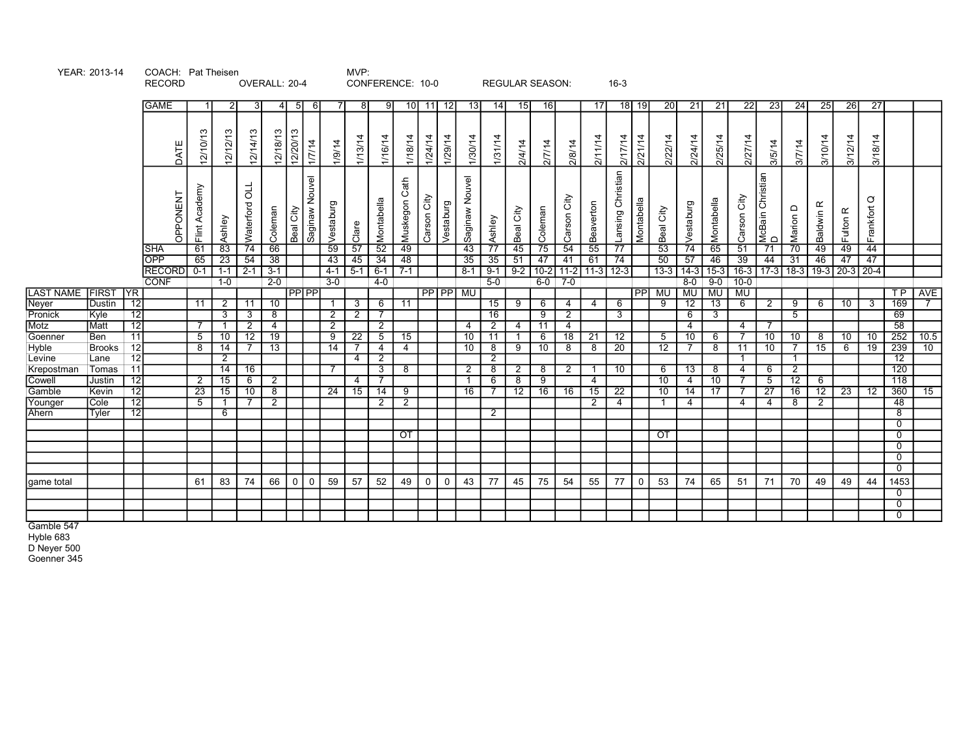|                    | YEAR: 2013-14         |                 | COACH: Pat Theisen<br><b>RECORD</b>                      |                           |                                 | OVERALL: 20-4                                         |                     |                |                         |                                  | MVP:                       | CONFERENCE: 10-0                          |                                      |                            |                                     |                                          | <b>REGULAR SEASON:</b>           |                     |                                                  |                       | $16-3$  |                                             |                                 |                       |                                       |                         |                                                                                           |                      |                       |                                 |                                  |                |      |  |
|--------------------|-----------------------|-----------------|----------------------------------------------------------|---------------------------|---------------------------------|-------------------------------------------------------|---------------------|----------------|-------------------------|----------------------------------|----------------------------|-------------------------------------------|--------------------------------------|----------------------------|-------------------------------------|------------------------------------------|----------------------------------|---------------------|--------------------------------------------------|-----------------------|---------|---------------------------------------------|---------------------------------|-----------------------|---------------------------------------|-------------------------|-------------------------------------------------------------------------------------------|----------------------|-----------------------|---------------------------------|----------------------------------|----------------|------|--|
|                    |                       |                 | <b>GAME</b>                                              |                           |                                 | -3                                                    |                     | $4$ 5 6        |                         |                                  | -81                        | 9                                         | 10 <sup>1</sup>                      | 12 <br>11                  | - 13 I                              | 14                                       | 15                               | $-16$               |                                                  |                       | 17      | $18$   19                                   | 20                              | 21                    | 21                                    | $\overline{22}$         | 23                                                                                        | 24                   | <b>25</b>             | 26                              | 27                               |                |      |  |
|                    |                       |                 |                                                          |                           |                                 |                                                       |                     |                |                         |                                  |                            |                                           |                                      |                            |                                     |                                          |                                  |                     |                                                  |                       |         |                                             |                                 |                       |                                       |                         |                                                                                           |                      |                       |                                 |                                  |                |      |  |
|                    |                       |                 | DATE                                                     | 12/10/13                  | 12/12/13                        | 12/14/13                                              | 12/18/13            | 12/20/13       | 1/7/14                  | 1/9/14                           | 1/13/14                    | 1/16/14                                   | 1/18/14                              | 1/24/14<br>1/29/14         | 1/30/14                             | 1/31/14                                  | 2/4/14                           | 2/7/14              | 2/8/14                                           |                       | 2/11/14 | 2/21/14<br>2/17/14                          | 2/22/14                         | 2/24/14               | 2/25/14                               | 2/27/14                 | 3/5/14                                                                                    | 3/7/14               | 3/10/14               | 3/12/14                         | 3/18/14                          |                |      |  |
|                    |                       |                 | OPPONENT<br><b>SHA</b><br><b>OPP</b><br>RECORD 0-1   1-1 | Flint Academy<br>61<br>65 | Ashley<br>83<br>$\overline{23}$ | $\frac{1}{2}$<br>Waterford<br>74<br>54<br>$2 - 1$ 3-1 | Coleman<br>66<br>38 | Beal City      | Saginaw Nouvel          | Vestaburg<br>59<br>43<br>$4 - 1$ | Clare<br>57<br>45<br>$5-1$ | Montabella<br>52<br>34<br>$\mid 6-1 \mid$ | Muskegon Cath<br>49<br>48<br>$7 - 1$ | Carson City<br>Vestaburg   | Saginaw Nouvel<br>43<br>35<br>$8-1$ | Ashley<br>$\overline{77}$<br>35<br>$9-1$ | Beal City<br>45<br>51<br>$9 - 2$ | Coleman<br>75<br>47 | Carson City<br>54<br>41<br>$10-2$ 11-2 11-3 12-3 | Beaverton<br>55<br>61 |         | Lansing Christian<br>Montabella<br>77<br>74 | Beal City<br>53<br>50<br>$13-3$ | Vestaburg<br>74<br>57 | Montabella<br>65<br>46<br>$14-3$ 15-3 | Carson City<br>51<br>39 | McBain Christian<br>D<br>$\overline{71}$<br>44<br>16-3   17-3   18-3   19-3   20-3   20-4 | Marion D<br>70<br>31 | Baldwin R<br>49<br>46 | Fulton <sub>R</sub><br>49<br>47 | $\circ$<br>Frankfort<br>44<br>47 |                |      |  |
|                    |                       |                 | <b>CONF</b>                                              |                           | 1-0                             |                                                       | $2 - 0$             |                |                         | $3 - 0$                          |                            | $4-0$                                     |                                      |                            |                                     | $5-0$                                    |                                  |                     | $6-0$ 7-0                                        |                       |         |                                             |                                 |                       |                                       | $8-0$ 9-0 10-0          |                                                                                           |                      |                       |                                 |                                  |                |      |  |
| LAST NAME FIRST YR |                       |                 |                                                          |                           |                                 |                                                       |                     | <b>IPPIPPI</b> |                         |                                  |                            |                                           |                                      | <b>PP PP MU</b>            |                                     |                                          |                                  |                     |                                                  |                       |         |                                             | PP MU   MU   MU                 |                       |                                       | MU                      |                                                                                           |                      |                       |                                 |                                  | TP             | AVE  |  |
| Neyer              | Dustin                | $\overline{12}$ |                                                          | 11                        | 2                               | 11                                                    | 10                  |                |                         |                                  | 3 <sup>1</sup>             | 6                                         | 11                                   |                            |                                     | 15                                       | 9                                | 6                   | 4                                                | -4                    |         | 6                                           | -9                              | 12 <sup>2</sup>       | $\overline{13}$                       | 6                       | 2                                                                                         | - 9                  | 6                     | 10                              | 3                                | 169            |      |  |
| Pronick            | Kyle                  | $\overline{12}$ |                                                          |                           | 3                               | $\overline{\mathbf{3}}$                               | 8                   |                |                         | $\overline{2}$                   | $\overline{2}$             |                                           |                                      |                            |                                     | 16                                       |                                  | $\overline{9}$      | $\overline{2}$                                   |                       |         | 3                                           |                                 | 6                     | 3                                     |                         |                                                                                           | -5                   |                       |                                 |                                  | 69             |      |  |
| Motz               | Matt                  | $\overline{12}$ |                                                          |                           |                                 | $\overline{2}$                                        | 4                   |                |                         | $\overline{2}$                   |                            | $\overline{2}$                            |                                      |                            | 4                                   | $\overline{2}$                           | 4                                | $-11$               | 4                                                |                       |         |                                             |                                 | 4                     |                                       | 4                       |                                                                                           |                      |                       |                                 |                                  | 58             |      |  |
| Goenner            | Ben                   | 11<br>12        |                                                          | 5<br>8                    | 10<br>$\overline{14}$           | 12                                                    | 19                  |                |                         | 9                                | 22                         | $5\overline{)}$                           | 15<br>4                              |                            | 10 <sup>°</sup>                     | 11                                       | 9                                | -6                  | 18<br>8                                          | 21                    |         | 12<br>$\overline{20}$                       | 5                               | 10                    | -6<br>8                               | 11                      | 10                                                                                        | 10                   | 8<br>15               | 10 <sup>1</sup>                 | 10                               | 252<br>239     | 10.5 |  |
| Hyble<br>Levine    | <b>Brooks</b><br>Lane | 12              |                                                          |                           | $\overline{2}$                  |                                                       | 13                  |                |                         | 14                               | $\overline{4}$             | 4<br>$\overline{2}$                       |                                      |                            | 10                                  | 8<br>$\overline{2}$                      |                                  | 10                  |                                                  | 8                     |         |                                             | 12                              |                       |                                       |                         |                                                                                           |                      |                       | 6                               | 19                               | 12             | 10   |  |
| Krepostman         | Tomas                 | $-11$           |                                                          |                           | $\overline{14}$                 | 16                                                    |                     |                |                         |                                  |                            | $\mathbf{3}$                              | -8                                   |                            | 2                                   | 8                                        | 2                                | 8                   | 2                                                | $\overline{1}$        |         | 10                                          | 6                               | 13                    | - 8                                   | 4                       | 6                                                                                         | 2                    |                       |                                 |                                  | 120            |      |  |
| Cowell             | <b>Justin</b>         | $\overline{12}$ |                                                          | 2                         | 15                              | 6                                                     | 2                   |                |                         |                                  | 4                          |                                           |                                      |                            |                                     | 6                                        | 8                                | $\overline{9}$      |                                                  | 4                     |         |                                             | 10                              | 4                     | 10                                    |                         | 5 <sup>5</sup>                                                                            | $\overline{12}$      | 6                     |                                 |                                  | 118            |      |  |
| Gamble             | Kevin                 | 12              |                                                          | 23                        | 15                              | 10                                                    | 8                   |                |                         | 24                               | 15                         | 14                                        | 9                                    |                            | 16                                  |                                          | 12                               | 16                  | 16                                               | 15                    |         | 22                                          | 10                              | 14                    | 17                                    |                         | 27                                                                                        | 16                   | 12                    | 23                              | 12                               | 360            | 15   |  |
| Younger            | <b>Cole</b>           | 12              |                                                          | 5                         |                                 |                                                       | 2                   |                |                         |                                  |                            | $\overline{2}$                            | 2                                    |                            |                                     |                                          |                                  |                     |                                                  | 2                     |         | 4                                           |                                 | 4                     |                                       |                         | 4                                                                                         | 8                    | 2                     |                                 |                                  | 48             |      |  |
| Ahern              | Tyler                 | 12              |                                                          |                           | 6                               |                                                       |                     |                |                         |                                  |                            |                                           |                                      |                            |                                     | $\mathbf{2}$                             |                                  |                     |                                                  |                       |         |                                             |                                 |                       |                                       |                         |                                                                                           |                      |                       |                                 |                                  | $\overline{8}$ |      |  |
|                    |                       |                 |                                                          |                           |                                 |                                                       |                     |                |                         |                                  |                            |                                           |                                      |                            |                                     |                                          |                                  |                     |                                                  |                       |         |                                             |                                 |                       |                                       |                         |                                                                                           |                      |                       |                                 |                                  | $\overline{0}$ |      |  |
|                    |                       |                 |                                                          |                           |                                 |                                                       |                     |                |                         |                                  |                            |                                           | $\overline{or}$                      |                            |                                     |                                          |                                  |                     |                                                  |                       |         |                                             | OT                              |                       |                                       |                         |                                                                                           |                      |                       |                                 |                                  | $\overline{0}$ |      |  |
|                    |                       |                 |                                                          |                           |                                 |                                                       |                     |                |                         |                                  |                            |                                           |                                      |                            |                                     |                                          |                                  |                     |                                                  |                       |         |                                             |                                 |                       |                                       |                         |                                                                                           |                      |                       |                                 |                                  | $\overline{0}$ |      |  |
|                    |                       |                 |                                                          |                           |                                 |                                                       |                     |                |                         |                                  |                            |                                           |                                      |                            |                                     |                                          |                                  |                     |                                                  |                       |         |                                             |                                 |                       |                                       |                         |                                                                                           |                      |                       |                                 |                                  | $\overline{0}$ |      |  |
|                    |                       |                 |                                                          |                           |                                 |                                                       |                     |                |                         |                                  |                            |                                           |                                      |                            |                                     |                                          |                                  |                     |                                                  |                       |         |                                             |                                 |                       |                                       |                         |                                                                                           |                      |                       |                                 |                                  | $\overline{0}$ |      |  |
| game total         |                       |                 |                                                          | 61                        | 83                              | 74                                                    | 66                  | $\mathbf 0$    | $\overline{\mathbf{0}}$ | 59                               | 57                         | 52                                        | 49                                   | $\mathbf 0$<br>$\mathbf 0$ | 43                                  | 77                                       | 45                               | 75                  | 54                                               | 55                    |         | 77<br>$\mathbf 0$                           | 53                              | 74                    | 65                                    | 51                      | 71                                                                                        | 70                   | 49                    | 49                              | 44                               | 1453           |      |  |
|                    |                       |                 |                                                          |                           |                                 |                                                       |                     |                |                         |                                  |                            |                                           |                                      |                            |                                     |                                          |                                  |                     |                                                  |                       |         |                                             |                                 |                       |                                       |                         |                                                                                           |                      |                       |                                 |                                  | $\overline{0}$ |      |  |
|                    |                       |                 |                                                          |                           |                                 |                                                       |                     |                |                         |                                  |                            |                                           |                                      |                            |                                     |                                          |                                  |                     |                                                  |                       |         |                                             |                                 |                       |                                       |                         |                                                                                           |                      |                       |                                 |                                  | $\overline{0}$ |      |  |
|                    |                       |                 |                                                          |                           |                                 |                                                       |                     |                |                         |                                  |                            |                                           |                                      |                            |                                     |                                          |                                  |                     |                                                  |                       |         |                                             |                                 |                       |                                       |                         |                                                                                           |                      |                       |                                 |                                  | $\overline{0}$ |      |  |

Gamble 547

Hyble 683

D Neyer 500

Goenner 345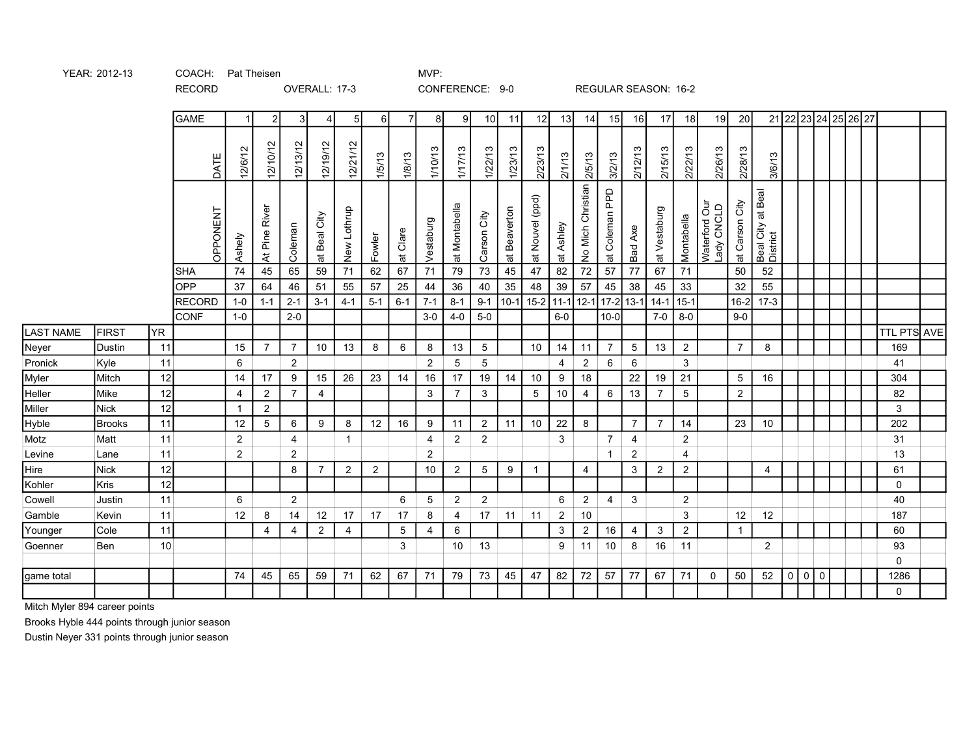|                  |               |     | <b>GAME</b>     |                | $\overline{2}$ | 3              | 4              | 5 <sup>1</sup> | 6I                | $\overline{7}$     | 8              | 9                       | 10 <sup>1</sup> | 11                     | 12              | 13                                      | 14                | 15             | 16             | 17             | 18             | 19                          | 20              |                               |         |             |     | 21 22 23 24 25 26 27 |                    |  |
|------------------|---------------|-----|-----------------|----------------|----------------|----------------|----------------|----------------|-------------------|--------------------|----------------|-------------------------|-----------------|------------------------|-----------------|-----------------------------------------|-------------------|----------------|----------------|----------------|----------------|-----------------------------|-----------------|-------------------------------|---------|-------------|-----|----------------------|--------------------|--|
|                  |               |     | DATE            | 12/6/12        | 12/10/12       | 12/13/12       | 12/19/12       | 12/21/12       | $\infty$<br>1/5/1 | 1/8/13             | 1/10/13        | 1/17/13                 | 1/22/13         | 1/23/13                | 2/23/13         | 21/13                                   | 2/5/13            | 3/2/13         | 2/12/13        | 2/15/13        | 2/22/13        | 2/26/13                     | 2/28/13         | 3/6/13                        |         |             |     |                      |                    |  |
|                  |               |     | <b>OPPONENT</b> | Ashely         | At Pine River  | Coleman        | at Beal City   | New Lothrup    | Fowler            | Clare<br>$\vec{a}$ | Vestaburg      | Montabella<br>$\vec{a}$ | City<br>Carson  | Beaverton<br>$\vec{p}$ | at Nouvel (ppd) | Ashley<br>$\overleftrightarrow{\varpi}$ | No Mich Christian | at Coleman PPD | Bad Axe        | at Vestaburg   | Montabella     | Waterford Our<br>Lady CNCLD | at Carson City  | Beal City at Beal<br>District |         |             |     |                      |                    |  |
|                  |               |     | <b>SHA</b>      | 74             | 45             | 65             | 59             | 71             | 62                | 67                 | 71             | 79                      | 73              | 45                     | 47              | 82                                      | 72                | 57             | 77             | 67             | 71             |                             | 50              | 52                            |         |             |     |                      |                    |  |
|                  |               |     | <b>OPP</b>      | 37             | 64             | 46             | 51             | 55             | 57                | 25                 | 44             | 36                      | 40              | 35                     | 48              | 39                                      | 57                | 45             | 38             | 45             | 33             |                             | 32              | 55                            |         |             |     |                      |                    |  |
|                  |               |     | <b>RECORD</b>   | $1-0$          | $1 - 1$        | $2 - 1$        | $3 - 1$        | $4 - 1$        | $5 - 1$           | $6 - 1$            | $7 - 1$        | $8 - 1$                 | $9 - 1$         | $10-1$                 | $15-2$ 11-1     |                                         | $12 - 1$          |                | $17 - 2$ 13-1  | $14 - 1$       | $15 - 1$       |                             | $16 - 2$        | $17-3$                        |         |             |     |                      |                    |  |
|                  |               |     | <b>CONF</b>     | $1-0$          |                | $2 - 0$        |                |                |                   |                    | $3-0$          | $4 - 0$                 | $5-0$           |                        |                 | $6-0$                                   |                   | $10-0$         |                | $7-0$          | $8-0$          |                             | $9 - 0$         |                               |         |             |     |                      |                    |  |
| <b>LAST NAME</b> | <b>FIRST</b>  | YR. |                 |                |                |                |                |                |                   |                    |                |                         |                 |                        |                 |                                         |                   |                |                |                |                |                             |                 |                               |         |             |     |                      | <b>TTL PTS AVE</b> |  |
| Neyer            | Dustin        | 11  |                 | 15             | $\overline{7}$ | $\overline{7}$ | 10             | 13             | 8                 | 6                  | 8              | 13                      | 5               |                        | 10              | 14                                      | 11                | $\overline{7}$ | 5              | 13             | 2              |                             | $\overline{7}$  | 8                             |         |             |     |                      | 169                |  |
| Pronick          | Kyle          | 11  |                 | 6              |                | $\overline{2}$ |                |                |                   |                    | $\overline{2}$ | 5                       | $5\phantom{.0}$ |                        |                 | 4                                       | $\overline{c}$    | 6              | 6              |                | 3              |                             |                 |                               |         |             |     |                      | 41                 |  |
| Myler            | Mitch         | 12  |                 | 14             | 17             | 9              | 15             | 26             | 23                | 14                 | 16             | 17                      | 19              | 14                     | 10              | 9                                       | 18                |                | 22             | 19             | 21             |                             | $5\overline{)}$ | 16                            |         |             |     |                      | 304                |  |
| Heller           | Mike          | 12  |                 | 4              | $\overline{2}$ | $\overline{7}$ | 4              |                |                   |                    | 3              |                         | 3               |                        | 5               | 10                                      | 4                 | 6              | 13             | 7              | 5              |                             | $\overline{2}$  |                               |         |             |     |                      | 82                 |  |
| Miller           | <b>Nick</b>   | 12  |                 | $\mathbf{1}$   | $\overline{2}$ |                |                |                |                   |                    |                |                         |                 |                        |                 |                                         |                   |                |                |                |                |                             |                 |                               |         |             |     |                      | 3                  |  |
| Hyble            | <b>Brooks</b> | 11  |                 | 12             | 5              | 6              | 9              | 8              | 12                | 16                 | 9              | 11                      | $\overline{2}$  | 11                     | 10              | 22                                      | 8                 |                | $\overline{7}$ | $\overline{7}$ | 14             |                             | 23              | 10                            |         |             |     |                      | 202                |  |
| Motz             | Matt          | 11  |                 | $\overline{2}$ |                | 4              |                | $\mathbf{1}$   |                   |                    | 4              | $\overline{2}$          | $\overline{2}$  |                        |                 | 3                                       |                   | $\overline{7}$ | 4              |                | $\overline{a}$ |                             |                 |                               |         |             |     |                      | 31                 |  |
| Levine           | Lane          | 11  |                 | $\overline{2}$ |                | $\overline{2}$ |                |                |                   |                    | $\overline{2}$ |                         |                 |                        |                 |                                         |                   | $\mathbf 1$    | $\overline{2}$ |                | $\overline{4}$ |                             |                 |                               |         |             |     |                      | 13                 |  |
| Hire             | <b>Nick</b>   | 12  |                 |                |                | 8              | $\overline{7}$ | 2              | 2                 |                    | 10             | $\overline{2}$          | 5               | 9                      | $\mathbf 1$     |                                         | $\overline{4}$    |                | 3              | $\overline{2}$ | $\overline{2}$ |                             |                 | 4                             |         |             |     |                      | 61                 |  |
| Kohler           | <b>Kris</b>   | 12  |                 |                |                |                |                |                |                   |                    |                |                         |                 |                        |                 |                                         |                   |                |                |                |                |                             |                 |                               |         |             |     |                      | $\mathbf 0$        |  |
| Cowell           | Justin        | 11  |                 | 6              |                | 2              |                |                |                   | 6                  | 5              | 2                       | $\overline{2}$  |                        |                 | 6                                       | $\overline{2}$    | 4              | 3              |                | 2              |                             |                 |                               |         |             |     |                      | 40                 |  |
| Gamble           | Kevin         | 11  |                 | 12             | 8              | 14             | 12             | 17             | 17                | 17                 | 8              | 4                       | 17              | 11                     | 11              | $\overline{2}$                          | 10                |                |                |                | 3              |                             | 12              | 12                            |         |             |     |                      | 187                |  |
| Younger          | Cole          | 11  |                 |                | $\overline{4}$ | $\overline{4}$ | $\overline{c}$ | 4              |                   | $5\phantom{.0}$    | 4              | 6                       |                 |                        |                 | 3                                       | $\overline{2}$    | 16             | $\overline{4}$ | 3              | $\overline{2}$ |                             | $\mathbf{1}$    |                               |         |             |     |                      | 60                 |  |
| Goenner          | Ben           | 10  |                 |                |                |                |                |                |                   | 3                  |                | 10                      | 13              |                        |                 | 9                                       | 11                | 10             | 8              | 16             | 11             |                             |                 | $\overline{2}$                |         |             |     |                      | 93                 |  |
|                  |               |     |                 |                |                |                |                |                |                   |                    |                |                         |                 |                        |                 |                                         |                   |                |                |                |                |                             |                 |                               |         |             |     |                      | $\mathbf 0$        |  |
| game total       |               |     |                 | 74             | 45             | 65             | 59             | 71             | 62                | 67                 | 71             | 79                      | 73              | 45                     | 47              | 82                                      | 72                | 57             | 77             | 67             | 71             | 0                           | 50              | 52                            | $\circ$ | $\mathbf 0$ | l 0 |                      | 1286               |  |
|                  |               |     |                 |                |                |                |                |                |                   |                    |                |                         |                 |                        |                 |                                         |                   |                |                |                |                |                             |                 |                               |         |             |     |                      | $\mathbf{0}$       |  |

OVERALL: 17-3 CONFERENCE: 9-0 REGULAR SEASON: 16-2

Mitch Myler 894 career points

Brooks Hyble 444 points through junior season

YEAR: 2012-13 COACH: Pat Theisen COACH: Pat Theisen

RECORD

Dustin Neyer 331 points through junior season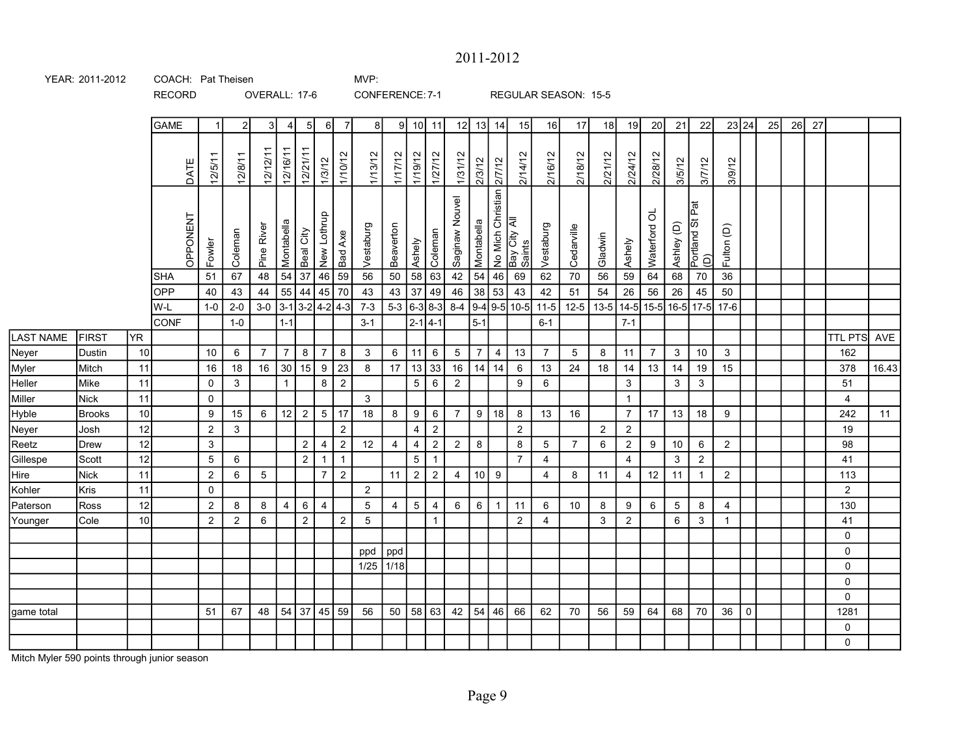## 2011-2012

| YEAR: 2011-2012 | COACH: Pat Theisen | MVP: |
|-----------------|--------------------|------|
|                 |                    |      |

RECORD

OVERALL: 17-6 CONFERENCE: 7-1 REGULAR SEASON: 15-5

|                  |               |                 | <b>GAME</b> | $\overline{1}$ | 2 <sup>1</sup> | 3 <sup>1</sup> | $\overline{4}$          | -5 I              | -6 I            | $\overline{7}$ | -8 I           |                 | $9$ 10 11      |                 | 12             | 13             | 14             | 15                                                         | 16 <sup>1</sup>       | 17              | 18                                      | 19             | 20             | 21           | 22                     |                | 23 24               | 25 | 26 | 27 |                |       |
|------------------|---------------|-----------------|-------------|----------------|----------------|----------------|-------------------------|-------------------|-----------------|----------------|----------------|-----------------|----------------|-----------------|----------------|----------------|----------------|------------------------------------------------------------|-----------------------|-----------------|-----------------------------------------|----------------|----------------|--------------|------------------------|----------------|---------------------|----|----|----|----------------|-------|
|                  |               |                 | DATE        | 12/5/11        | 12/8/11        | 12/12/11       | 12/16/11                | 12/21/11          | 1/3/12          | 1/10/12        | 1/13/12        | 1/17/12         | 1/19/12        | 1/27/12         | 1/31/12        | 2/3/12         | 2/7/12         | 2/14/12                                                    | 2/16/12               | 2/18/12         | 2/21/12                                 | 2/24/12        | 2/28/12        | 3/5/12       | 3/7/12                 | 3/9/12         |                     |    |    |    |                |       |
|                  |               |                 | OPPONENT    | Fowler         | Coleman        | Pine River     | Montabella              | Beal City         | New Lothrup     | Bad Axe        | Vestaburg      | Beaverton       | Ashely         | Coleman         | Saginaw Nouvel | Montabella     |                | No Mich Christian <mark>;</mark><br>Bay City All<br>Saints | Vestaburg             | Cedarville      | Gladwin                                 | Ashely         | ಕ<br>Waterford | Ashley (D)   | Portland St Pat<br>(D) | Fulton (D)     |                     |    |    |    |                |       |
|                  |               |                 | SHA         | 51             | 67             | 48             | 54                      | 37                | 46              | 59             | 56             | 50              | 58             | 63              | 42             | 54             | 46             | 69                                                         | 62                    | $70\,$          | 56                                      | 59             | 64             | 68           | 70                     | $36\,$         |                     |    |    |    |                |       |
|                  |               |                 | OPP         | 40             | 43             | 44             | 55                      | 44                | 45              | 70             | 43             | 43              | 37             | 49              | 46             | 38             | 53             | 43                                                         | 42                    | 51              | 54                                      | 26             | 56             | 26           | 45                     | 50             |                     |    |    |    |                |       |
|                  |               |                 | W-L         | $1-0$          | $2 - 0$        | $3-0$ 3-1      |                         | $ 3-2 4-2 4-3 $   |                 |                | $7 - 3$        | $5-3$ 6-3 8-3   |                |                 |                |                |                |                                                            | 8-4 9-4 9-5 10-5 11-5 | $12 - 5$        | 13-5   14-5   15-5   16-5   17-5   17-6 |                |                |              |                        |                |                     |    |    |    |                |       |
|                  |               |                 | <b>CONF</b> |                | $1-0$          |                | $1 - 1$                 |                   |                 |                | $3 - 1$        |                 | $ 2 - 1 $ 4-1  |                 |                | $5-1$          |                |                                                            | $6 - 1$               |                 |                                         | $7 - 1$        |                |              |                        |                |                     |    |    |    |                |       |
| <b>LAST NAME</b> | FIRST         | YR.             |             |                |                |                |                         |                   |                 |                |                |                 |                |                 |                |                |                |                                                            |                       |                 |                                         |                |                |              |                        |                |                     |    |    |    | TTL PTS AVE    |       |
| Neyer            | Dustin        | 10 <sup>1</sup> |             | 10             | 6              | $\overline{7}$ | $\overline{7}$          | 8                 | $\overline{7}$  | 8              | 3              | 6               | 11             | $6\phantom{.}6$ | 5 <sub>5</sub> | $\overline{7}$ | $\overline{4}$ | 13                                                         | $\overline{7}$        | $5\overline{)}$ | 8                                       | 11             | $\overline{7}$ | $\mathbf{3}$ | 10                     | $\mathbf{3}$   |                     |    |    |    | 162            |       |
| Myler            | Mitch         | 11              |             | 16             | 18             | 16             | 30                      | 15                | 9               | 23             | 8              | 17 <sup>1</sup> | $13 \mid 33$   |                 | 16             | 14             | 14             | 6                                                          | 13                    | 24              | 18                                      | 14             | 13             | 14           | 19                     | 15             |                     |    |    |    | 378            | 16.43 |
| Heller           | Mike          | 11              |             | $\mathbf 0$    | 3              |                | $\overline{1}$          |                   | 8               | $\overline{2}$ |                |                 | 5 <sup>1</sup> | $6\phantom{1}6$ | $\overline{2}$ |                |                | 9                                                          | 6                     |                 |                                         | $\mathbf{3}$   |                | 3            | $\mathbf{3}$           |                |                     |    |    |    | 51             |       |
| Miller           | Nick          | 11              |             | $\mathbf 0$    |                |                |                         |                   |                 |                | 3              |                 |                |                 |                |                |                |                                                            |                       |                 |                                         | $\mathbf{1}$   |                |              |                        |                |                     |    |    |    | 4              |       |
| Hyble            | <b>Brooks</b> | 10              |             | 9              | 15             | 6              | 12                      | $\overline{2}$    | $5\phantom{.0}$ | $\vert$ 17     | 18             | 8               | 9              | $6\phantom{.}6$ | 7 <sup>7</sup> | 9              | 18             | 8                                                          | 13                    | 16              |                                         | $\overline{7}$ | 17             | 13           | 18                     | 9              |                     |    |    |    | 242            | 11    |
| Neyer            | Josh          | 12              |             | $\overline{2}$ | 3              |                |                         |                   |                 | $\overline{2}$ |                |                 | $\overline{4}$ | $\sqrt{2}$      |                |                |                | $\overline{2}$                                             |                       |                 | $\overline{2}$                          | $\overline{2}$ |                |              |                        |                |                     |    |    |    | 19             |       |
| Reetz            | Drew          | 12              |             | $\mathbf{3}$   |                |                |                         | $\overline{2}$    | $\overline{4}$  | $\overline{2}$ | 12             | $\overline{4}$  | $\overline{4}$ | $\overline{2}$  | $2^{\circ}$    | 8              |                | 8                                                          | 5                     | $\overline{7}$  | 6                                       | $\overline{2}$ | 9              | 10           | $\,6\,$                | $\overline{2}$ |                     |    |    |    | 98             |       |
| Gillespe         | Scott         | 12              |             | 5              | 6              |                |                         | $\overline{2}$    | -1              | $\mathbf{1}$   |                |                 | 5 <sub>5</sub> | $\overline{1}$  |                |                |                | $\overline{7}$                                             | $\overline{4}$        |                 |                                         | 4              |                | 3            | $\overline{2}$         |                |                     |    |    |    | 41             |       |
| Hire             | Nick          | 11              |             | $\overline{2}$ | 6              | 5              |                         |                   | $\overline{7}$  | $\mathbf{2}$   |                | 11              | $\overline{2}$ | $\overline{2}$  | 4              | 10             | 9              |                                                            | 4                     | 8               | 11                                      | 4              | 12             | 11           | $\overline{1}$         | $\overline{2}$ |                     |    |    |    | 113            |       |
| Kohler           | Kris          | 11              |             | $\mathbf 0$    |                |                |                         |                   |                 |                | $\overline{2}$ |                 |                |                 |                |                |                |                                                            |                       |                 |                                         |                |                |              |                        |                |                     |    |    |    | $\overline{2}$ |       |
| Paterson         | Ross          | 12              |             | 2              | 8              | 8              | $\overline{\mathbf{4}}$ | 6                 | $\overline{4}$  |                | 5              | $\overline{4}$  | 5 <sup>5</sup> | 4               | 6              | 6              | $\overline{1}$ | 11                                                         | 6                     | 10              | 8                                       | 9              | 6              | 5            | 8                      | 4              |                     |    |    |    | 130            |       |
| Younger          | Cole          | 10 <sup>1</sup> |             | $\overline{2}$ | 2              | 6              |                         | $\overline{2}$    |                 | $\overline{2}$ | 5              |                 |                | $\mathbf{1}$    |                |                |                | $\overline{2}$                                             | 4                     |                 | 3                                       | $\overline{2}$ |                | 6            | 3                      | $\mathbf{1}$   |                     |    |    |    | 41             |       |
|                  |               |                 |             |                |                |                |                         |                   |                 |                |                |                 |                |                 |                |                |                |                                                            |                       |                 |                                         |                |                |              |                        |                |                     |    |    |    | 0              |       |
|                  |               |                 |             |                |                |                |                         |                   |                 |                | ppd            | ppd             |                |                 |                |                |                |                                                            |                       |                 |                                         |                |                |              |                        |                |                     |    |    |    | $\mathbf 0$    |       |
|                  |               |                 |             |                |                |                |                         |                   |                 |                | 1/25           | 1/18            |                |                 |                |                |                |                                                            |                       |                 |                                         |                |                |              |                        |                |                     |    |    |    | $\mathbf 0$    |       |
|                  |               |                 |             |                |                |                |                         |                   |                 |                |                |                 |                |                 |                |                |                |                                                            |                       |                 |                                         |                |                |              |                        |                |                     |    |    |    | 0              |       |
|                  |               |                 |             |                |                |                |                         |                   |                 |                |                |                 |                |                 |                |                |                |                                                            |                       |                 |                                         |                |                |              |                        |                |                     |    |    |    | 0              |       |
| game total       |               |                 |             | 51             | 67             | 48             |                         | 54   37   45   59 |                 |                | 56             |                 | 50   58   63   |                 | 42             | 54             | 46             | 66                                                         | 62                    | 70              | 56                                      | 59             | 64             | 68           | 70                     | 36             | $\mathsf{O}\xspace$ |    |    |    | 1281           |       |
|                  |               |                 |             |                |                |                |                         |                   |                 |                |                |                 |                |                 |                |                |                |                                                            |                       |                 |                                         |                |                |              |                        |                |                     |    |    |    | $\mathbf 0$    |       |
|                  |               |                 |             |                |                |                |                         |                   |                 |                |                |                 |                |                 |                |                |                |                                                            |                       |                 |                                         |                |                |              |                        |                |                     |    |    |    | 0              |       |

Mitch Myler 590 points through junior season